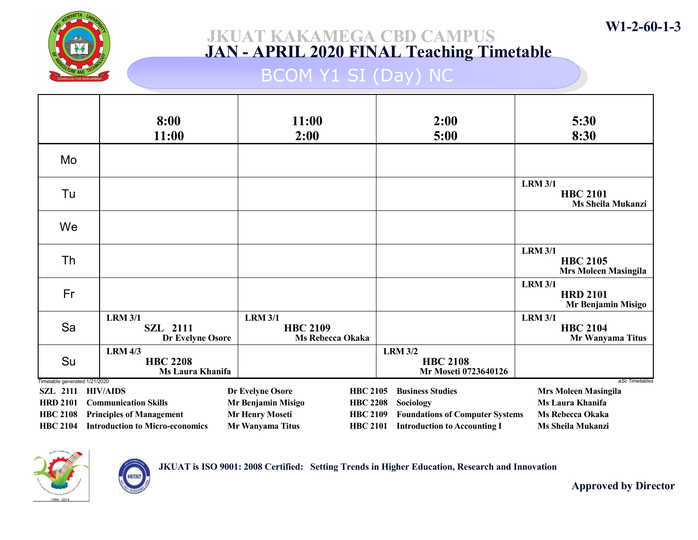

## BCOM Y1 SI (Day) NC

|                                                   | 8:00<br>11:00                                                | 11:00<br>2:00                                                |                 | 2:00<br>5:00                                              | 5:30<br>8:30                                                     |
|---------------------------------------------------|--------------------------------------------------------------|--------------------------------------------------------------|-----------------|-----------------------------------------------------------|------------------------------------------------------------------|
| Mo                                                |                                                              |                                                              |                 |                                                           |                                                                  |
| Tu                                                |                                                              |                                                              |                 |                                                           | <b>LRM 3/1</b><br><b>HBC 2101</b><br><b>Ms Sheila Mukanzi</b>    |
| We                                                |                                                              |                                                              |                 |                                                           |                                                                  |
| Th                                                |                                                              |                                                              |                 |                                                           | <b>LRM 3/1</b><br><b>HBC 2105</b><br><b>Mrs Moleen Masingila</b> |
| Fr                                                |                                                              |                                                              |                 |                                                           | <b>LRM 3/1</b><br><b>HRD 2101</b><br>Mr Benjamin Misigo          |
| Sa                                                | <b>LRM 3/1</b><br><b>SZL 2111</b><br>Dr Evelyne Osore        | <b>LRM 3/1</b><br><b>HBC 2109</b><br><b>Ms Rebecca Okaka</b> |                 |                                                           | <b>LRM 3/1</b><br><b>HBC 2104</b><br>Mr Wanyama Titus            |
| Su                                                | <b>LRM 4/3</b><br><b>HBC 2208</b><br><b>Ms Laura Khanifa</b> |                                                              |                 | <b>LRM 3/2</b><br><b>HBC 2108</b><br>Mr Moseti 0723640126 |                                                                  |
| Timetable generated: 1/21/2020<br><b>SZL</b> 2111 | <b>HIV/AIDS</b>                                              | Dr Evelyne Osore                                             | <b>HBC 2105</b> | <b>Business Studies</b>                                   | aSc Timetables<br><b>Mrs Moleen Masingila</b>                    |
| <b>HRD 2101</b>                                   | <b>Communication Skills</b>                                  | Mr Benjamin Misigo                                           | <b>HBC 2208</b> | Sociology                                                 | Ms Laura Khanifa                                                 |
| <b>HBC 2108</b>                                   | <b>Principles of Management</b>                              | <b>Mr Henry Moseti</b>                                       | <b>HBC 2109</b> | <b>Foundations of Computer Systems</b>                    | <b>Ms Rebecca Okaka</b>                                          |
| <b>HBC 2104</b>                                   | <b>Introduction to Micro-economics</b>                       | Mr Wanyama Titus                                             | <b>HBC 2101</b> | <b>Introduction to Accounting I</b>                       | Ms Sheila Mukanzi                                                |



**KEB** 

JKUAT is ISO 9001: 2008 Certified: Setting Trends in Higher Education, Research and Innovation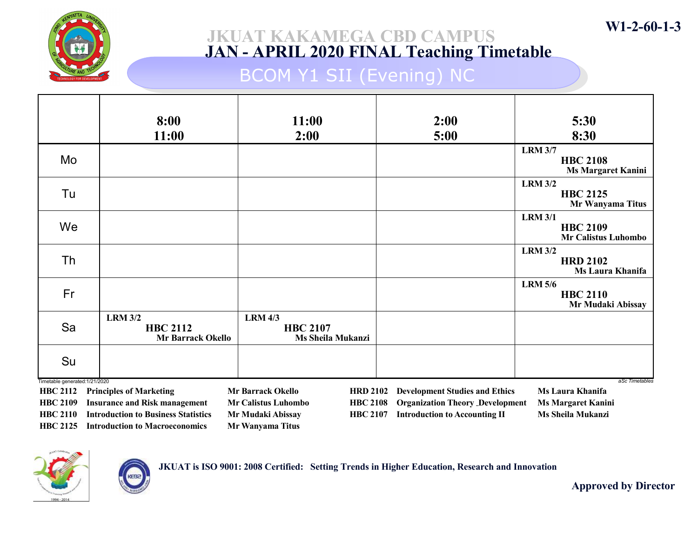

# BCOM Y1 SII (Evening) NC

|                                    | 8:00                                                                               | 11:00                                                                                 | 2:00                                                                           | 5:30                                                            |
|------------------------------------|------------------------------------------------------------------------------------|---------------------------------------------------------------------------------------|--------------------------------------------------------------------------------|-----------------------------------------------------------------|
|                                    | 11:00                                                                              | 2:00                                                                                  | 5:00                                                                           | 8:30                                                            |
| Mo                                 |                                                                                    |                                                                                       |                                                                                | <b>LRM 3/7</b><br><b>HBC 2108</b><br><b>Ms Margaret Kanini</b>  |
| Tu                                 |                                                                                    |                                                                                       |                                                                                | <b>LRM 3/2</b><br><b>HBC 2125</b><br>Mr Wanyama Titus           |
| We                                 |                                                                                    |                                                                                       |                                                                                | <b>LRM 3/1</b><br><b>HBC 2109</b><br><b>Mr Calistus Luhombo</b> |
| Th                                 |                                                                                    |                                                                                       |                                                                                | <b>LRM 3/2</b><br><b>HRD 2102</b><br>Ms Laura Khanifa           |
| Fr                                 |                                                                                    |                                                                                       |                                                                                | <b>LRM 5/6</b><br><b>HBC 2110</b><br>Mr Mudaki Abissay          |
| Sa                                 | <b>LRM 3/2</b><br><b>HBC 2112</b><br>Mr Barrack Okello                             | <b>LRM 4/3</b><br><b>HBC 2107</b><br><b>Ms Sheila Mukanzi</b>                         |                                                                                |                                                                 |
| Su                                 |                                                                                    |                                                                                       |                                                                                |                                                                 |
| Timetable generated: 1/21/2020     |                                                                                    |                                                                                       |                                                                                | aSc Timetables                                                  |
| <b>HBC 2112</b><br><b>HBC 2109</b> | <b>Principles of Marketing</b>                                                     | <b>Mr Barrack Okello</b><br><b>HRD 2102</b>                                           | <b>Development Studies and Ethics</b>                                          | Ms Laura Khanifa                                                |
| <b>HBC 2110</b>                    | <b>Insurance and Risk management</b><br><b>Introduction to Business Statistics</b> | <b>Mr Calistus Luhombo</b><br><b>HBC 2108</b><br>Mr Mudaki Abissay<br><b>HBC 2107</b> | <b>Organization Theory Development</b><br><b>Introduction to Accounting II</b> | <b>Ms Margaret Kanini</b><br><b>Ms Sheila Mukanzi</b>           |
| <b>HBC 2125</b>                    | <b>Introduction to Macroeconomics</b>                                              | <b>Mr Wanyama Titus</b>                                                               |                                                                                |                                                                 |



JKUAT is ISO 9001: 2008 Certified: Setting Trends in Higher Education, Research and Innovation

Approved by Director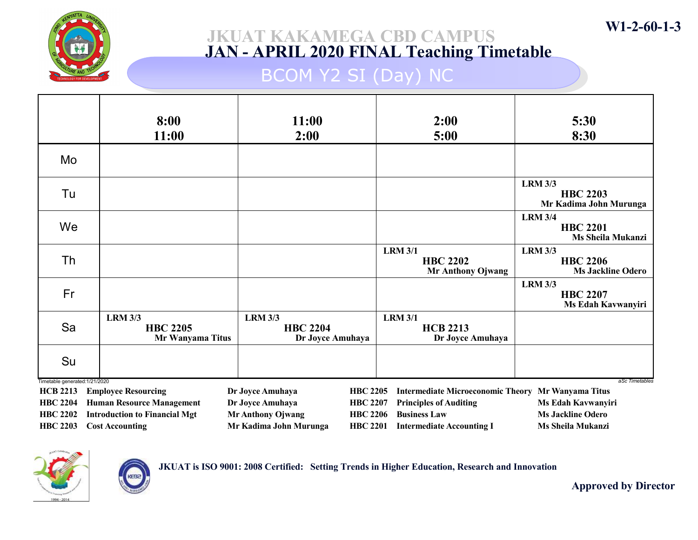

## BCOM Y2 SI (Day) NC

|                                                   | 8:00<br>11:00                                         | 11:00<br>2:00                                         | 2:00<br>5:00                                                  | 5:30<br>8:30                                                  |
|---------------------------------------------------|-------------------------------------------------------|-------------------------------------------------------|---------------------------------------------------------------|---------------------------------------------------------------|
| Mo                                                |                                                       |                                                       |                                                               |                                                               |
| Tu                                                |                                                       |                                                       |                                                               | <b>LRM 3/3</b><br><b>HBC 2203</b><br>Mr Kadima John Murunga   |
| We                                                |                                                       |                                                       |                                                               | <b>LRM 3/4</b><br><b>HBC 2201</b><br>Ms Sheila Mukanzi        |
| Th                                                |                                                       |                                                       | <b>LRM 3/1</b><br><b>HBC 2202</b><br><b>Mr Anthony Ojwang</b> | <b>LRM 3/3</b><br><b>HBC 2206</b><br><b>Ms Jackline Odero</b> |
| Fr                                                |                                                       |                                                       |                                                               | <b>LRM 3/3</b><br><b>HBC 2207</b><br>Ms Edah Kavwanyiri       |
| Sa                                                | <b>LRM 3/3</b><br><b>HBC 2205</b><br>Mr Wanyama Titus | <b>LRM 3/3</b><br><b>HBC 2204</b><br>Dr Joyce Amuhaya | <b>LRM 3/1</b><br><b>HCB 2213</b><br>Dr Joyce Amuhaya         |                                                               |
| Su                                                |                                                       |                                                       |                                                               |                                                               |
| Timetable generated: 1/21/2020<br><b>HCB 2213</b> | <b>Employee Resourcing</b>                            | Dr Joyce Amuhaya                                      | <b>HBC 2205</b><br><b>Intermediate Microeconomic Theory</b>   | aSc Timetables<br>Mr Wanyama Titus                            |
| <b>HBC 2204</b>                                   | <b>Human Resource Management</b>                      | Dr Joyce Amuhaya                                      | <b>HBC 2207</b><br><b>Principles of Auditing</b>              | Ms Edah Kavwanyiri                                            |
| <b>HBC 2202</b>                                   | <b>Introduction to Financial Mgt</b>                  | <b>Mr Anthony Ojwang</b>                              | <b>HBC 2206</b><br><b>Business Law</b>                        | <b>Ms Jackline Odero</b>                                      |
| <b>HBC 2203</b>                                   | <b>Cost Accounting</b>                                | Mr Kadima John Murunga                                | <b>HBC 2201</b><br><b>Intermediate Accounting I</b>           | <b>Ms Sheila Mukanzi</b>                                      |



**KEB** 



W1-2-60-1-3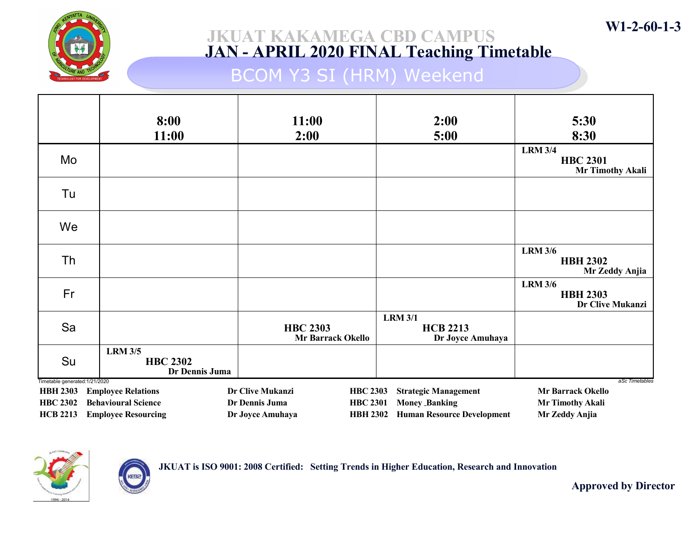

## BCOM Y3 SI (HRM) Weekend

|                                                   | 8:00<br>11:00                                       | 11:00<br>2:00                               | 2:00<br>5:00                                          | 5:30<br>8:30                                                 |
|---------------------------------------------------|-----------------------------------------------------|---------------------------------------------|-------------------------------------------------------|--------------------------------------------------------------|
| Mo                                                |                                                     |                                             |                                                       | <b>LRM 3/4</b><br><b>HBC 2301</b><br><b>Mr Timothy Akali</b> |
| Tu                                                |                                                     |                                             |                                                       |                                                              |
| We                                                |                                                     |                                             |                                                       |                                                              |
| Th                                                |                                                     |                                             |                                                       | <b>LRM 3/6</b><br><b>HBH 2302</b><br>Mr Zeddy Anjia          |
| Fr                                                |                                                     |                                             |                                                       | <b>LRM 3/6</b><br><b>HBH 2303</b><br>Dr Clive Mukanzi        |
| Sa                                                |                                                     | <b>HBC 2303</b><br><b>Mr Barrack Okello</b> | <b>LRM 3/1</b><br><b>HCB 2213</b><br>Dr Joyce Amuhaya |                                                              |
| Su                                                | <b>LRM 3/5</b><br><b>HBC 2302</b><br>Dr Dennis Juma |                                             |                                                       |                                                              |
| Timetable generated: 1/21/2020<br><b>HBH 2303</b> | <b>Employee Relations</b>                           | Dr Clive Mukanzi<br><b>HBC 2303</b>         | <b>Strategic Management</b>                           | aSc Timetables<br><b>Mr Barrack Okello</b>                   |
| <b>HBC 2302</b>                                   | <b>Behavioural Science</b>                          | Dr Dennis Juma<br><b>HBC 2301</b>           | <b>Money Banking</b>                                  | Mr Timothy Akali                                             |
| <b>HCB 2213</b>                                   | <b>Employee Resourcing</b>                          | Dr Joyce Amuhaya<br><b>HBH 2302</b>         | <b>Human Resource Development</b>                     | Mr Zeddy Anjia                                               |



KEBa

JKUAT is ISO 9001: 2008 Certified: Setting Trends in Higher Education, Research and Innovation

Approved by Director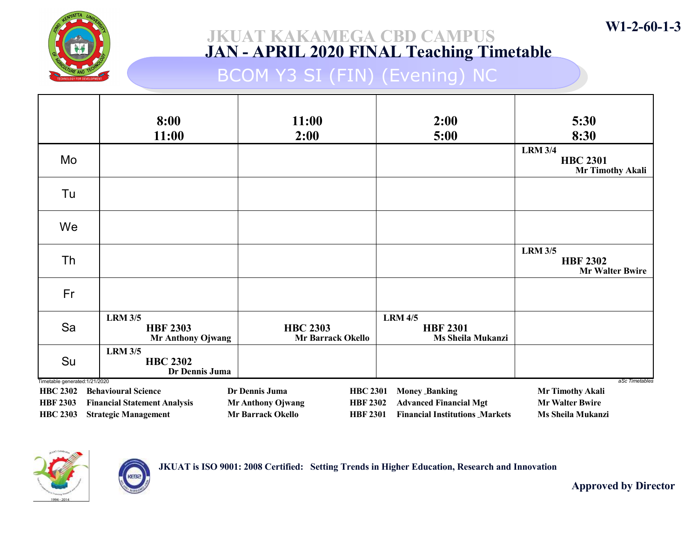

## BCOM Y3 SI (FIN) (Evening) NC

|                                                   | 8:00<br>11:00                                                      | 11:00<br>2:00                                                                              | 2:00<br>5:00                                                           | 5:30<br>8:30                                                 |
|---------------------------------------------------|--------------------------------------------------------------------|--------------------------------------------------------------------------------------------|------------------------------------------------------------------------|--------------------------------------------------------------|
| Mo                                                |                                                                    |                                                                                            |                                                                        | <b>LRM 3/4</b><br><b>HBC 2301</b><br><b>Mr Timothy Akali</b> |
| Tu                                                |                                                                    |                                                                                            |                                                                        |                                                              |
| We                                                |                                                                    |                                                                                            |                                                                        |                                                              |
| Th                                                |                                                                    |                                                                                            |                                                                        | <b>LRM 3/5</b><br><b>HBF 2302</b><br><b>Mr Walter Bwire</b>  |
| Fr                                                |                                                                    |                                                                                            |                                                                        |                                                              |
| Sa                                                | <b>LRM 3/5</b><br><b>HBF 2303</b><br><b>Mr Anthony Ojwang</b>      | <b>HBC 2303</b><br><b>Mr Barrack Okello</b>                                                | <b>LRM 4/5</b><br><b>HBF 2301</b><br>Ms Sheila Mukanzi                 |                                                              |
| Su                                                | <b>LRM 3/5</b><br><b>HBC 2302</b><br>Dr Dennis Juma                |                                                                                            |                                                                        |                                                              |
| Timetable generated: 1/21/2020<br><b>HBC 2302</b> | <b>Behavioural Science</b>                                         | Dr Dennis Juma<br><b>HBC 2301</b>                                                          | <b>Money Banking</b>                                                   | aSc Timetables<br><b>Mr Timothy Akali</b>                    |
| <b>HBF 2303</b><br><b>HBC 2303</b>                | <b>Financial Statement Analysis</b><br><b>Strategic Management</b> | <b>Mr Anthony Ojwang</b><br><b>HBF 2302</b><br><b>Mr Barrack Okello</b><br><b>HBF 2301</b> | <b>Advanced Financial Mgt</b><br><b>Financial Institutions Markets</b> | <b>Mr Walter Bwire</b><br>Ms Sheila Mukanzi                  |





Approved by Director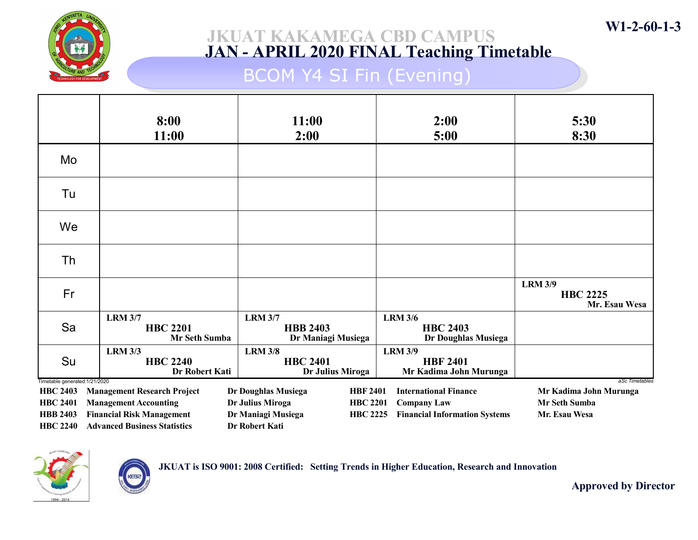

## BCOM Y4 SI Fin (Evening)

|                                                   | 8:00<br>11:00                                       | 11:00<br>2:00                                           | 2:00<br>5:00                                                | 5:30<br>8:30                                       |
|---------------------------------------------------|-----------------------------------------------------|---------------------------------------------------------|-------------------------------------------------------------|----------------------------------------------------|
| Mo                                                |                                                     |                                                         |                                                             |                                                    |
| Tu                                                |                                                     |                                                         |                                                             |                                                    |
| We                                                |                                                     |                                                         |                                                             |                                                    |
| Th                                                |                                                     |                                                         |                                                             |                                                    |
| Fr                                                |                                                     |                                                         |                                                             | <b>LRM 3/9</b><br><b>HBC 2225</b><br>Mr. Esau Wesa |
| Sa                                                | <b>LRM 3/7</b><br><b>HBC 2201</b><br>Mr Seth Sumba  | <b>LRM 3/7</b><br><b>HBB 2403</b><br>Dr Maniagi Musiega | <b>LRM 3/6</b><br><b>HBC 2403</b><br>Dr Doughlas Musiega    |                                                    |
| Su                                                | <b>LRM 3/3</b><br><b>HBC 2240</b><br>Dr Robert Kati | <b>LRM 3/8</b><br><b>HBC 2401</b><br>Dr Julius Miroga   | <b>LRM 3/9</b><br><b>HBF 2401</b><br>Mr Kadima John Murunga |                                                    |
| Timetable generated: 1/21/2020<br><b>HBC 2403</b> | <b>Management Research Project</b>                  | <b>HBF 2401</b><br>Dr Doughlas Musiega                  | <b>International Finance</b>                                | aSc Timetables<br>Mr Kadima John Murunga           |
| <b>HBC 2401</b>                                   | <b>Management Accounting</b>                        | Dr Julius Miroga<br><b>HBC 2201</b>                     | <b>Company Law</b>                                          | <b>Mr Seth Sumba</b>                               |
| <b>HBB 2403</b>                                   | <b>Financial Risk Management</b>                    | Dr Maniagi Musiega<br><b>HBC 2225</b>                   | <b>Financial Information Systems</b>                        | Mr. Esau Wesa                                      |
| <b>HBC 2240</b>                                   | <b>Advanced Business Statistics</b>                 | Dr Robert Kati                                          |                                                             |                                                    |



JKUAT is ISO 9001: 2008 Certified: Setting Trends in Higher Education, Research and Innovation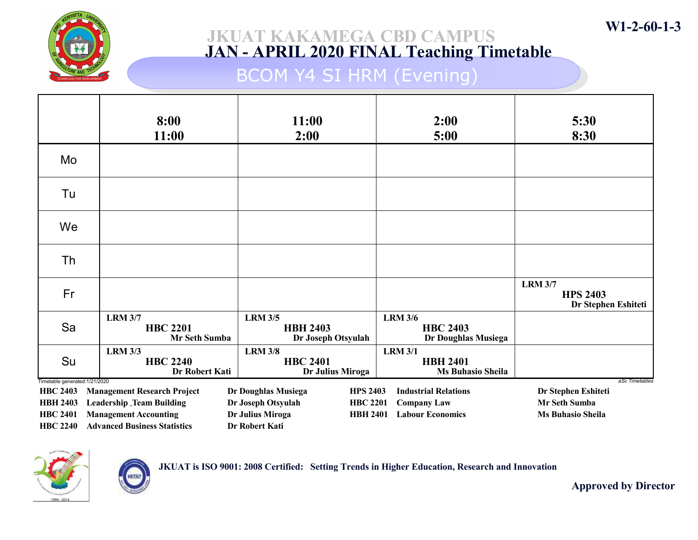

## BCOM Y4 SI HRM (Evening)

|                                                   | 8:00<br>11:00                                       | 11:00<br>2:00                                           | 2:00<br>5:00                                                  | 5:30<br>8:30                                             |
|---------------------------------------------------|-----------------------------------------------------|---------------------------------------------------------|---------------------------------------------------------------|----------------------------------------------------------|
| Mo                                                |                                                     |                                                         |                                                               |                                                          |
| Tu                                                |                                                     |                                                         |                                                               |                                                          |
| We                                                |                                                     |                                                         |                                                               |                                                          |
| Th                                                |                                                     |                                                         |                                                               |                                                          |
| Fr                                                |                                                     |                                                         |                                                               | <b>LRM 3/7</b><br><b>HPS 2403</b><br>Dr Stephen Eshiteti |
| Sa                                                | <b>LRM 3/7</b><br><b>HBC 2201</b><br>Mr Seth Sumba  | <b>LRM 3/5</b><br><b>HBH 2403</b><br>Dr Joseph Otsyulah | <b>LRM 3/6</b><br><b>HBC 2403</b><br>Dr Doughlas Musiega      |                                                          |
| Su                                                | <b>LRM 3/3</b><br><b>HBC 2240</b><br>Dr Robert Kati | <b>LRM 3/8</b><br><b>HBC 2401</b><br>Dr Julius Miroga   | <b>LRM 3/1</b><br><b>HBH 2401</b><br><b>Ms Buhasio Sheila</b> |                                                          |
| Timetable generated: 1/21/2020<br><b>HBC 2403</b> | <b>Management Research Project</b>                  | Dr Doughlas Musiega<br><b>HPS 2403</b>                  | <b>Industrial Relations</b>                                   | aSc Timetables<br>Dr Stephen Eshiteti                    |
| <b>HBH 2403</b>                                   | <b>Leadership Team Building</b>                     | Dr Joseph Otsyulah<br><b>HBC 2201</b>                   | <b>Company Law</b>                                            | <b>Mr Seth Sumba</b>                                     |
| <b>HBC 2401</b>                                   | <b>Management Accounting</b>                        | Dr Julius Miroga<br><b>HBH 2401</b>                     | <b>Labour Economics</b>                                       | <b>Ms Buhasio Sheila</b>                                 |
| <b>HBC 2240</b>                                   | <b>Advanced Business Statistics</b>                 | Dr Robert Kati                                          |                                                               |                                                          |



KEBa

JKUAT is ISO 9001: 2008 Certified: Setting Trends in Higher Education, Research and Innovation

Approved by Director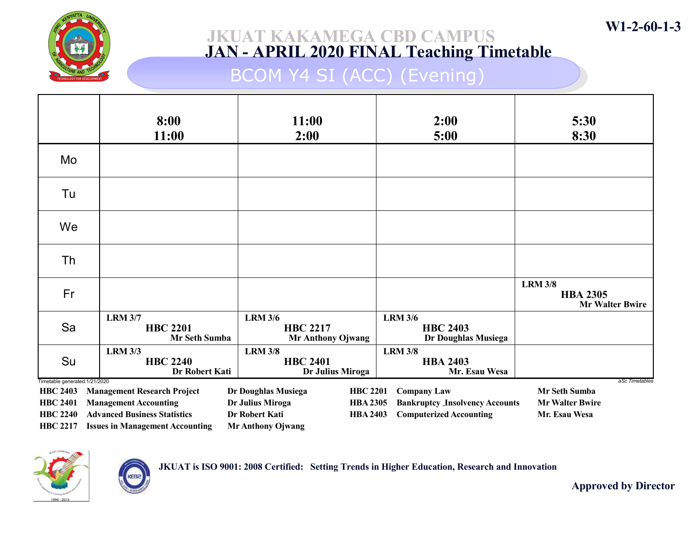

## BCOM Y4 SI (ACC) (Evening)

|                                                   | 8:00<br>11:00                                             | 11:00<br>2:00                                                 | 2:00<br>5:00                                             | 5:30<br>8:30                                                |
|---------------------------------------------------|-----------------------------------------------------------|---------------------------------------------------------------|----------------------------------------------------------|-------------------------------------------------------------|
| Mo                                                |                                                           |                                                               |                                                          |                                                             |
| Tu                                                |                                                           |                                                               |                                                          |                                                             |
| We                                                |                                                           |                                                               |                                                          |                                                             |
| Th                                                |                                                           |                                                               |                                                          |                                                             |
| Fr                                                |                                                           |                                                               |                                                          | <b>LRM 3/8</b><br><b>HBA 2305</b><br><b>Mr Walter Bwire</b> |
| Sa                                                | <b>LRM 3/7</b><br><b>HBC 2201</b><br><b>Mr Seth Sumba</b> | <b>LRM 3/6</b><br><b>HBC 2217</b><br><b>Mr Anthony Ojwang</b> | <b>LRM 3/6</b><br><b>HBC 2403</b><br>Dr Doughlas Musiega |                                                             |
| Su                                                | <b>LRM 3/3</b><br><b>HBC 2240</b><br>Dr Robert Kati       | <b>LRM 3/8</b><br><b>HBC 2401</b><br>Dr Julius Miroga         | <b>LRM 3/8</b><br><b>HBA 2403</b><br>Mr. Esau Wesa       |                                                             |
| Timetable generated: 1/21/2020<br><b>HBC 2403</b> | <b>Management Research Project</b>                        | Dr Doughlas Musiega<br><b>HBC 2201</b>                        | <b>Company Law</b>                                       | aSc Timetables<br>Mr Seth Sumba                             |
| <b>HBC 2401</b>                                   | <b>Management Accounting</b>                              | Dr Julius Miroga<br><b>HBA 2305</b>                           | <b>Bankruptcy Insolvency Accounts</b>                    | <b>Mr Walter Bwire</b>                                      |
| <b>HBC 2240</b>                                   | <b>Advanced Business Statistics</b>                       | <b>Dr Robert Kati</b><br><b>HBA 2403</b>                      | <b>Computerized Accounting</b>                           | Mr. Esau Wesa                                               |
| <b>HBC 2217</b>                                   | <b>Issues in Management Accounting</b>                    | <b>Mr Anthony Ojwang</b>                                      |                                                          |                                                             |



JKUAT is ISO 9001: 2008 Certified: Setting Trends in Higher Education, Research and Innovation

Approved by Director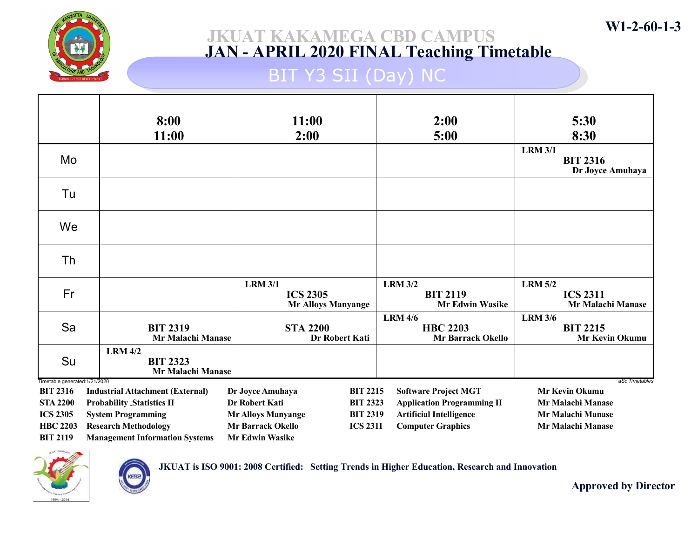

## BIT Y3 SII (Day) NC

|                                                  | 8:00                                                   | 11:00                                                          |                 | 2:00                                                          | 5:30                                                          |
|--------------------------------------------------|--------------------------------------------------------|----------------------------------------------------------------|-----------------|---------------------------------------------------------------|---------------------------------------------------------------|
|                                                  | 11:00                                                  | 2:00                                                           |                 | 5:00                                                          | 8:30                                                          |
| Mo                                               |                                                        |                                                                |                 |                                                               | <b>LRM 3/1</b><br><b>BIT 2316</b><br>Dr Joyce Amuhaya         |
| Tu                                               |                                                        |                                                                |                 |                                                               |                                                               |
| We                                               |                                                        |                                                                |                 |                                                               |                                                               |
| Th                                               |                                                        |                                                                |                 |                                                               |                                                               |
| Fr                                               |                                                        | <b>LRM 3/1</b><br><b>ICS 2305</b><br><b>Mr Alloys Manyange</b> |                 | <b>LRM 3/2</b><br><b>BIT 2119</b><br><b>Mr Edwin Wasike</b>   | <b>LRM 5/2</b><br><b>ICS 2311</b><br><b>Mr Malachi Manase</b> |
| Sa                                               | <b>BIT 2319</b><br>Mr Malachi Manase                   | <b>STA 2200</b><br>Dr Robert Kati                              |                 | <b>LRM 4/6</b><br><b>HBC 2203</b><br><b>Mr Barrack Okello</b> | <b>LRM 3/6</b><br><b>BIT 2215</b><br><b>Mr Kevin Okumu</b>    |
| Su                                               | <b>LRM 4/2</b><br><b>BIT 2323</b><br>Mr Malachi Manase |                                                                |                 |                                                               |                                                               |
| Timetable generated:1/21/2020<br><b>BIT 2316</b> | <b>Industrial Attachment (External)</b>                | Dr Joyce Amuhaya                                               | <b>BIT 2215</b> | <b>Software Project MGT</b>                                   | aSc Timetables<br><b>Mr Kevin Okumu</b>                       |
| <b>STA 2200</b>                                  | <b>Probability Statistics II</b>                       | Dr Robert Kati                                                 | <b>BIT 2323</b> | <b>Application Programming II</b>                             | <b>Mr Malachi Manase</b>                                      |
| <b>ICS 2305</b>                                  | <b>System Programming</b>                              | <b>Mr Alloys Manyange</b>                                      | <b>BIT 2319</b> | <b>Artificial Intelligence</b>                                | <b>Mr Malachi Manase</b>                                      |
| <b>HBC 2203</b>                                  | <b>Research Methodology</b>                            | <b>Mr Barrack Okello</b>                                       | <b>ICS 2311</b> | <b>Computer Graphics</b>                                      | Mr Malachi Manase                                             |
| <b>BIT 2119</b>                                  | <b>Management Information Systems</b>                  | <b>Mr Edwin Wasike</b>                                         |                 |                                                               |                                                               |



**KEB** 

JKUAT is ISO 9001: 2008 Certified: Setting Trends in Higher Education, Research and Innovation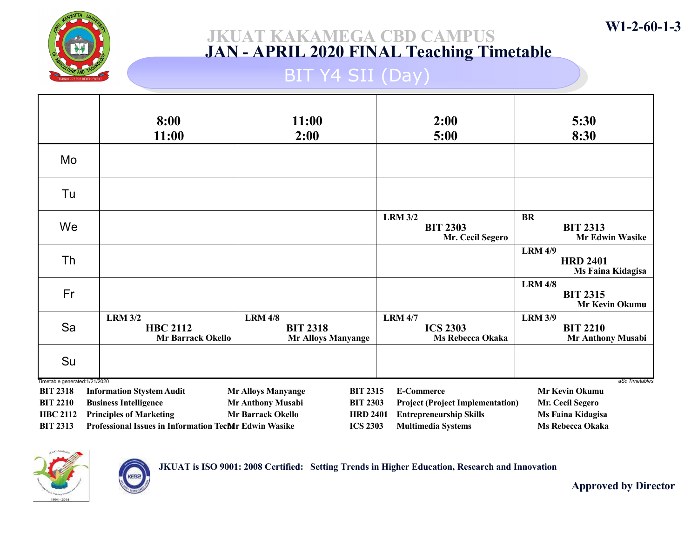

# BIT Y4 SII (Day)

|                                                  | 8:00<br>11:00                                                 | 11:00<br>2:00                                                  | 2:00<br>5:00                                          | 5:30<br>8:30                                                  |
|--------------------------------------------------|---------------------------------------------------------------|----------------------------------------------------------------|-------------------------------------------------------|---------------------------------------------------------------|
| Mo                                               |                                                               |                                                                |                                                       |                                                               |
| Tu                                               |                                                               |                                                                |                                                       |                                                               |
| We                                               |                                                               |                                                                | <b>LRM 3/2</b><br><b>BIT 2303</b><br>Mr. Cecil Segero | <b>BR</b><br><b>BIT 2313</b><br><b>Mr Edwin Wasike</b>        |
| Th                                               |                                                               |                                                                |                                                       | <b>LRM 4/9</b><br><b>HRD 2401</b><br>Ms Faina Kidagisa        |
| Fr                                               |                                                               |                                                                |                                                       | <b>LRM 4/8</b><br><b>BIT 2315</b><br>Mr Kevin Okumu           |
| Sa                                               | <b>LRM 3/2</b><br><b>HBC 2112</b><br><b>Mr Barrack Okello</b> | <b>LRM 4/8</b><br><b>BIT 2318</b><br><b>Mr Alloys Manyange</b> | <b>LRM 4/7</b><br><b>ICS 2303</b><br>Ms Rebecca Okaka | <b>LRM 3/9</b><br><b>BIT 2210</b><br><b>Mr Anthony Musabi</b> |
| Su                                               |                                                               |                                                                |                                                       |                                                               |
| Timetable generated:1/21/2020<br><b>BIT 2318</b> | <b>Information Stystem Audit</b>                              | <b>BIT 2315</b><br><b>Mr Alloys Manyange</b>                   | <b>E-Commerce</b>                                     | aSc Timetables<br>Mr Kevin Okumu                              |
| <b>BIT 2210</b>                                  | <b>Business Intelligence</b>                                  | Mr Anthony Musabi<br><b>BIT 2303</b>                           | <b>Project (Project Implementation)</b>               | Mr. Cecil Segero                                              |
| <b>HBC 2112</b>                                  | <b>Principles of Marketing</b>                                | <b>Mr Barrack Okello</b><br><b>HRD 2401</b>                    | <b>Entrepreneurship Skills</b>                        | Ms Faina Kidagisa                                             |
| <b>BIT 2313</b>                                  | <b>Professional Issues in Information TecMr Edwin Wasike</b>  | <b>ICS 2303</b>                                                | <b>Multimedia Systems</b>                             | <b>Ms Rebecca Okaka</b>                                       |



KEBa

JKUAT is ISO 9001: 2008 Certified: Setting Trends in Higher Education, Research and Innovation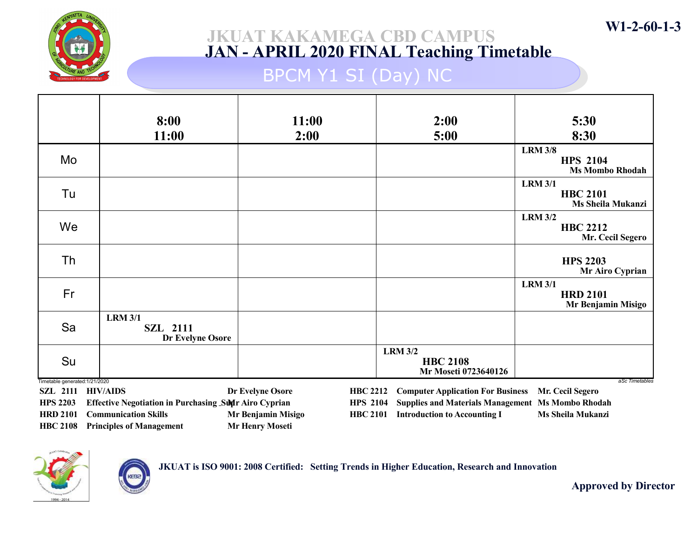

# BPCM Y1 SI (Day) NC

|                                                     | 8:00                                                  | 11:00                                 | 2:00                                                      | 5:30                                                        |
|-----------------------------------------------------|-------------------------------------------------------|---------------------------------------|-----------------------------------------------------------|-------------------------------------------------------------|
|                                                     | 11:00                                                 | 2:00                                  | 5:00                                                      | 8:30                                                        |
| Mo                                                  |                                                       |                                       |                                                           | <b>LRM 3/8</b><br><b>HPS 2104</b><br><b>Ms Mombo Rhodah</b> |
| Tu                                                  |                                                       |                                       |                                                           | <b>LRM 3/1</b><br><b>HBC 2101</b><br>Ms Sheila Mukanzi      |
| We                                                  |                                                       |                                       |                                                           | <b>LRM 3/2</b><br><b>HBC 2212</b><br>Mr. Cecil Segero       |
| Th                                                  |                                                       |                                       |                                                           | <b>HPS 2203</b><br>Mr Airo Cyprian                          |
| Fr                                                  |                                                       |                                       |                                                           | <b>LRM 3/1</b><br><b>HRD 2101</b><br>Mr Benjamin Misigo     |
| Sa                                                  | <b>LRM 3/1</b><br><b>SZL 2111</b><br>Dr Evelyne Osore |                                       |                                                           |                                                             |
| Su                                                  |                                                       |                                       | <b>LRM 3/2</b><br><b>HBC 2108</b><br>Mr Moseti 0723640126 |                                                             |
| Timetable generated: 1/21/2020<br>SZL 2111 HIV/AIDS |                                                       | Dr Evelyne Osore<br><b>HBC 2212</b>   | <b>Computer Application For Business</b>                  | aSc Timetables<br>Mr. Cecil Segero                          |
| <b>HPS 2203</b>                                     | Effective Negotiation in Purchasing Sun Airo Cyprian  | <b>HPS 2104</b>                       | <b>Supplies and Materials Management Ms Mombo Rhodah</b>  |                                                             |
| <b>HRD 2101</b>                                     | <b>Communication Skills</b>                           | Mr Benjamin Misigo<br><b>HBC 2101</b> | <b>Introduction to Accounting I</b>                       | <b>Ms Sheila Mukanzi</b>                                    |
| <b>HBC 2108</b>                                     | <b>Principles of Management</b>                       | <b>Mr Henry Moseti</b>                |                                                           |                                                             |



JKUAT is ISO 9001: 2008 Certified: Setting Trends in Higher Education, Research and Innovation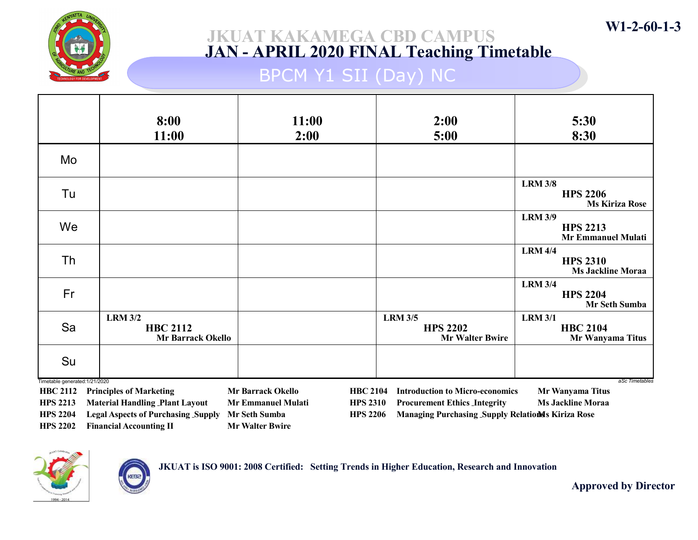

# BPCM Y1 SII (Day) NC

|                                | 8:00<br>11:00                                                                                                                     | 11:00<br>2:00                                | 2:00<br>5:00                                                | 5:30<br>8:30                                                   |  |
|--------------------------------|-----------------------------------------------------------------------------------------------------------------------------------|----------------------------------------------|-------------------------------------------------------------|----------------------------------------------------------------|--|
| Mo                             |                                                                                                                                   |                                              |                                                             |                                                                |  |
| Tu                             |                                                                                                                                   |                                              |                                                             | <b>LRM 3/8</b><br><b>HPS 2206</b><br><b>Ms Kiriza Rose</b>     |  |
| We                             |                                                                                                                                   |                                              |                                                             | <b>LRM 3/9</b><br><b>HPS 2213</b><br><b>Mr Emmanuel Mulati</b> |  |
| Th                             |                                                                                                                                   |                                              |                                                             | <b>LRM 4/4</b><br><b>HPS 2310</b><br><b>Ms Jackline Moraa</b>  |  |
| Fr                             |                                                                                                                                   |                                              |                                                             | <b>LRM 3/4</b><br><b>HPS 2204</b><br>Mr Seth Sumba             |  |
| Sa                             | <b>LRM 3/2</b><br><b>HBC 2112</b><br><b>Mr Barrack Okello</b>                                                                     |                                              | <b>LRM 3/5</b><br><b>HPS 2202</b><br><b>Mr Walter Bwire</b> | <b>LRM 3/1</b><br><b>HBC 2104</b><br>Mr Wanyama Titus          |  |
| Su                             |                                                                                                                                   |                                              |                                                             |                                                                |  |
| Timetable generated: 1/21/2020 |                                                                                                                                   | <b>Mr Barrack Okello</b>                     |                                                             | aSc Timetables                                                 |  |
| <b>HBC 2112</b>                | <b>Principles of Marketing</b>                                                                                                    | <b>HBC 2104</b>                              | <b>Introduction to Micro-economics</b>                      | Mr Wanyama Titus                                               |  |
| <b>HPS 2213</b>                | <b>Material Handling Plant Layout</b>                                                                                             | <b>Mr Emmanuel Mulati</b><br><b>HPS 2310</b> | <b>Procurement Ethics Integrity</b>                         | <b>Ms Jackline Moraa</b>                                       |  |
| <b>HPS 2204</b>                | <b>Legal Aspects of Purchasing Supply</b><br>Managing Purchasing Supply Relations Kiriza Rose<br>Mr Seth Sumba<br><b>HPS 2206</b> |                                              |                                                             |                                                                |  |

HPS 2202 Financial Accounting II Mr Walter Bwire

**CEB** 



Approved by Director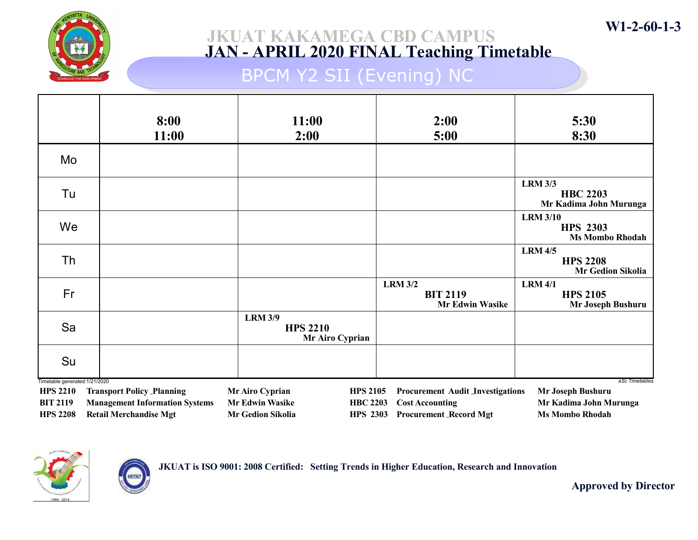

## BPCM Y2 SII (Evening) NC

|                                                   | 8:00<br>11:00                                                          | 11:00<br>2:00                               |                                    | 2:00<br>5:00                                                | 5:30<br>8:30                                                 |
|---------------------------------------------------|------------------------------------------------------------------------|---------------------------------------------|------------------------------------|-------------------------------------------------------------|--------------------------------------------------------------|
| Mo                                                |                                                                        |                                             |                                    |                                                             |                                                              |
| Tu                                                |                                                                        |                                             |                                    |                                                             | <b>LRM 3/3</b><br><b>HBC 2203</b><br>Mr Kadima John Murunga  |
| We                                                |                                                                        |                                             |                                    |                                                             | <b>LRM 3/10</b><br><b>HPS 2303</b><br><b>Ms Mombo Rhodah</b> |
| Th                                                |                                                                        |                                             |                                    |                                                             | <b>LRM 4/5</b><br><b>HPS 2208</b><br>Mr Gedion Sikolia       |
| Fr                                                |                                                                        |                                             |                                    | <b>LRM 3/2</b><br><b>BIT 2119</b><br><b>Mr Edwin Wasike</b> | <b>LRM 4/1</b><br><b>HPS 2105</b><br>Mr Joseph Bushuru       |
| Sa                                                |                                                                        | <b>LRM 3/9</b><br><b>HPS 2210</b>           | Mr Airo Cyprian                    |                                                             |                                                              |
| Su                                                |                                                                        |                                             |                                    |                                                             |                                                              |
| Timetable generated: 1/21/2020<br><b>HPS 2210</b> | <b>Transport Policy Planning</b>                                       | Mr Airo Cyprian                             | <b>HPS 2105</b>                    | <b>Procurement Audit Investigations</b>                     | aSc Timetables<br>Mr Joseph Bushuru                          |
| <b>BIT 2119</b><br><b>HPS 2208</b>                | <b>Management Information Systems</b><br><b>Retail Merchandise Mgt</b> | <b>Mr Edwin Wasike</b><br>Mr Gedion Sikolia | <b>HBC 2203</b><br><b>HPS 2303</b> | <b>Cost Accounting</b><br><b>Procurement Record Mgt</b>     | Mr Kadima John Murunga<br><b>Ms Mombo Rhodah</b>             |



KEBa

JKUAT is ISO 9001: 2008 Certified: Setting Trends in Higher Education, Research and Innovation

Approved by Director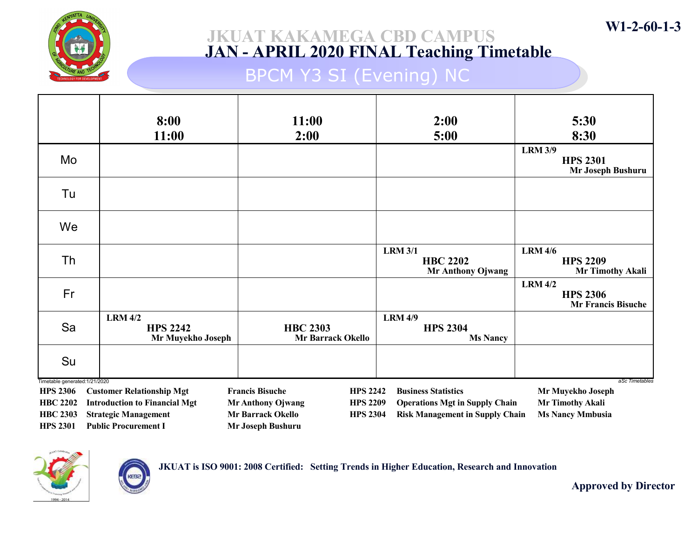

## BPCM Y3 SI (Evening) NC

|                                                   | 8:00<br>11:00                                          | 11:00<br>2:00                               | 2:00<br>5:00                                                  | 5:30<br>8:30                                                   |
|---------------------------------------------------|--------------------------------------------------------|---------------------------------------------|---------------------------------------------------------------|----------------------------------------------------------------|
| Mo                                                |                                                        |                                             |                                                               | <b>LRM 3/9</b><br><b>HPS 2301</b><br>Mr Joseph Bushuru         |
| Tu                                                |                                                        |                                             |                                                               |                                                                |
| We                                                |                                                        |                                             |                                                               |                                                                |
| Th                                                |                                                        |                                             | <b>LRM 3/1</b><br><b>HBC 2202</b><br><b>Mr Anthony Ojwang</b> | <b>LRM 4/6</b><br><b>HPS 2209</b><br><b>Mr Timothy Akali</b>   |
| Fr                                                |                                                        |                                             |                                                               | <b>LRM 4/2</b><br><b>HPS 2306</b><br><b>Mr Francis Bisuche</b> |
| Sa                                                | <b>LRM 4/2</b><br><b>HPS 2242</b><br>Mr Muyekho Joseph | <b>HBC 2303</b><br><b>Mr Barrack Okello</b> | <b>LRM 4/9</b><br><b>HPS 2304</b><br><b>Ms Nancy</b>          |                                                                |
| Su                                                |                                                        |                                             |                                                               |                                                                |
| Timetable generated: 1/21/2020<br><b>HPS 2306</b> | <b>Customer Relationship Mgt</b>                       | <b>Francis Bisuche</b><br><b>HPS 2242</b>   | <b>Business Statistics</b>                                    | aSc Timetables<br>Mr Muyekho Joseph                            |
| <b>HBC 2202</b>                                   | <b>Introduction to Financial Mgt</b>                   | <b>Mr Anthony Ojwang</b><br><b>HPS 2209</b> | <b>Operations Mgt in Supply Chain</b>                         | Mr Timothy Akali                                               |
| <b>HBC 2303</b>                                   | <b>Strategic Management</b>                            | <b>Mr Barrack Okello</b><br><b>HPS 2304</b> | <b>Risk Management in Supply Chain</b>                        | <b>Ms Nancy Mmbusia</b>                                        |
| <b>HPS 2301</b>                                   | <b>Public Procurement I</b>                            | Mr Joseph Bushuru                           |                                                               |                                                                |



JKUAT is ISO 9001: 2008 Certified: Setting Trends in Higher Education, Research and Innovation

Approved by Director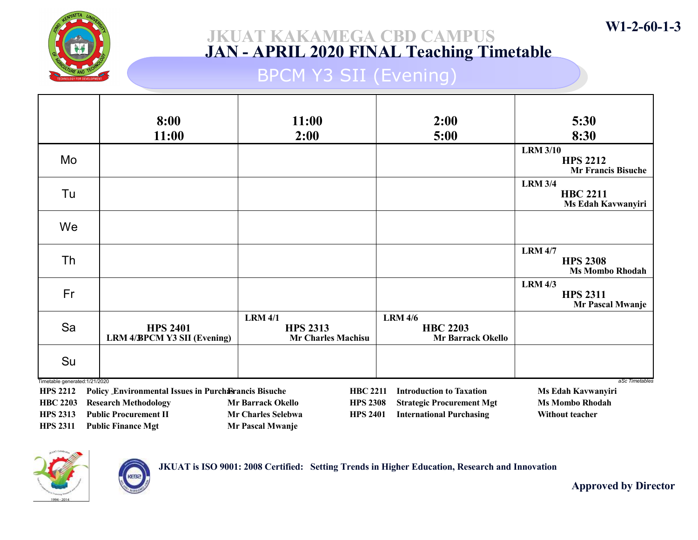

## BPCM Y3 SII (Evening)

|                                                   | 8:00                                                        | 11:00                                                          | 2:00                                                          | 5:30                                                            |
|---------------------------------------------------|-------------------------------------------------------------|----------------------------------------------------------------|---------------------------------------------------------------|-----------------------------------------------------------------|
|                                                   | 11:00                                                       | 2:00                                                           | 5:00                                                          | 8:30                                                            |
| Mo                                                |                                                             |                                                                |                                                               | <b>LRM 3/10</b><br><b>HPS 2212</b><br><b>Mr Francis Bisuche</b> |
| Tu                                                |                                                             |                                                                |                                                               | <b>LRM 3/4</b><br><b>HBC 2211</b><br>Ms Edah Kavwanyiri         |
| We                                                |                                                             |                                                                |                                                               |                                                                 |
| Th                                                |                                                             |                                                                |                                                               | <b>LRM 4/7</b><br><b>HPS 2308</b><br><b>Ms Mombo Rhodah</b>     |
| Fr                                                |                                                             |                                                                |                                                               | <b>LRM 4/3</b><br><b>HPS 2311</b><br>Mr Pascal Mwanje           |
| Sa                                                | <b>HPS 2401</b><br><b>LRM 4/BPCM Y3 SII (Evening)</b>       | <b>LRM 4/1</b><br><b>HPS 2313</b><br><b>Mr Charles Machisu</b> | <b>LRM 4/6</b><br><b>HBC 2203</b><br><b>Mr Barrack Okello</b> |                                                                 |
| Su                                                |                                                             |                                                                |                                                               |                                                                 |
| Timetable generated: 1/21/2020<br><b>HPS 2212</b> | <b>Policy Environmental Issues in Purchasrancis Bisuche</b> | <b>HBC 2211</b>                                                | <b>Introduction to Taxation</b>                               | aSc Timetables<br>Ms Edah Kavwanyiri                            |
| <b>HBC 2203</b>                                   | <b>Research Methodology</b>                                 | <b>Mr Barrack Okello</b><br><b>HPS 2308</b>                    | <b>Strategic Procurement Mgt</b>                              | <b>Ms Mombo Rhodah</b>                                          |
| <b>HPS 2313</b>                                   | <b>Public Procurement II</b>                                | <b>Mr Charles Selebwa</b><br><b>HPS 2401</b>                   | <b>International Purchasing</b>                               | Without teacher                                                 |
| <b>HPS 2311</b>                                   | <b>Public Finance Mgt</b>                                   | Mr Pascal Mwanje                                               |                                                               |                                                                 |



**CEB** 

JKUAT is ISO 9001: 2008 Certified: Setting Trends in Higher Education, Research and Innovation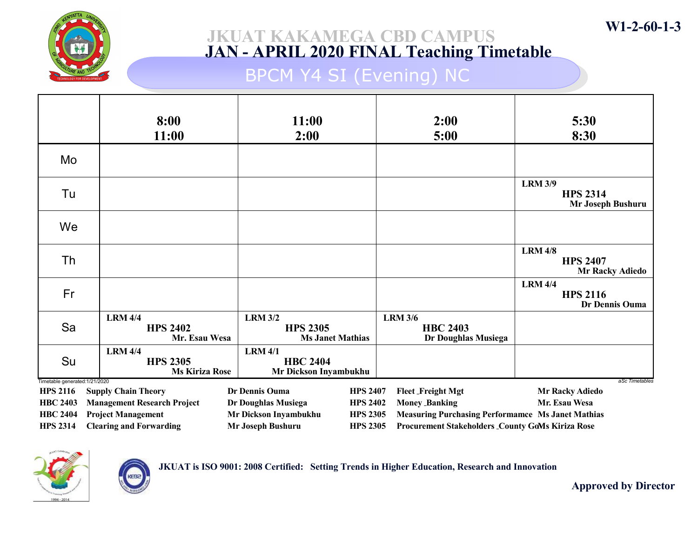

## BPCM Y4 SI (Evening) NC

|                                                   | 8:00                                                       | 11:00                                                        | 2:00                                                     | 5:30                                                        |
|---------------------------------------------------|------------------------------------------------------------|--------------------------------------------------------------|----------------------------------------------------------|-------------------------------------------------------------|
|                                                   | 11:00                                                      | 2:00                                                         | 5:00                                                     | 8:30                                                        |
| Mo                                                |                                                            |                                                              |                                                          |                                                             |
| Tu                                                |                                                            |                                                              |                                                          | <b>LRM 3/9</b><br><b>HPS 2314</b><br>Mr Joseph Bushuru      |
| We                                                |                                                            |                                                              |                                                          |                                                             |
| Th                                                |                                                            |                                                              |                                                          | <b>LRM 4/8</b><br><b>HPS 2407</b><br><b>Mr Racky Adiedo</b> |
| Fr                                                |                                                            |                                                              |                                                          | <b>LRM 4/4</b><br><b>HPS 2116</b><br>Dr Dennis Ouma         |
| Sa                                                | <b>LRM 4/4</b><br><b>HPS 2402</b><br>Mr. Esau Wesa         | <b>LRM 3/2</b><br><b>HPS 2305</b><br><b>Ms Janet Mathias</b> | <b>LRM 3/6</b><br><b>HBC 2403</b><br>Dr Doughlas Musiega |                                                             |
| Su                                                | <b>LRM 4/4</b><br><b>HPS 2305</b><br><b>Ms Kiriza Rose</b> | <b>LRM 4/1</b><br><b>HBC 2404</b><br>Mr Dickson Inyambukhu   |                                                          |                                                             |
| Timetable generated: 1/21/2020<br><b>HPS 2116</b> | <b>Supply Chain Theory</b>                                 | Dr Dennis Ouma<br><b>HPS 2407</b>                            | <b>Fleet Freight Mgt</b>                                 | aSc Timetables<br><b>Mr Racky Adiedo</b>                    |
| <b>HBC 2403</b>                                   | <b>Management Research Project</b>                         | Dr Doughlas Musiega<br><b>HPS 2402</b>                       | <b>Money Banking</b>                                     | Mr. Esau Wesa                                               |
| <b>HBC 2404</b>                                   | <b>Project Management</b>                                  | Mr Dickson Inyambukhu<br><b>HPS 2305</b>                     | <b>Measuring Purchasing Performamce Ms Janet Mathias</b> |                                                             |
| <b>HPS 2314</b>                                   | <b>Clearing and Forwarding</b>                             | Mr Joseph Bushuru<br><b>HPS 2305</b>                         | <b>Procurement Stakeholders County GoMs Kiriza Rose</b>  |                                                             |



JKUAT is ISO 9001: 2008 Certified: Setting Trends in Higher Education, Research and Innovation

Approved by Director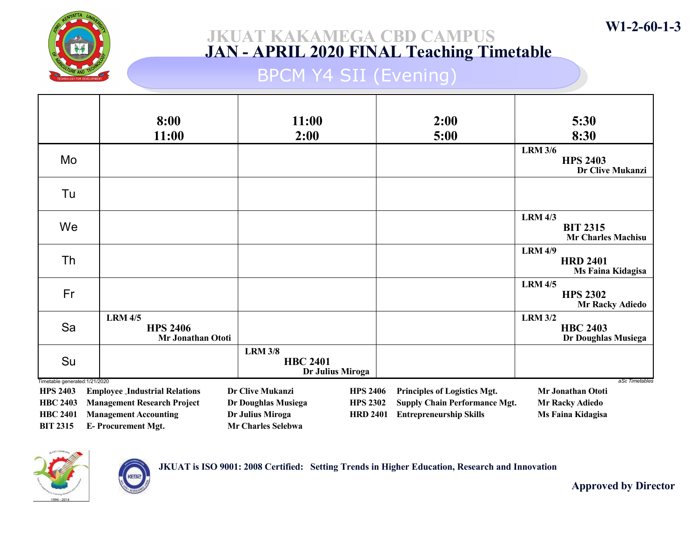

## BPCM Y4 SII (Evening)

|                                                   | 8:00                                                   | 11:00                                                 |                 | 2:00                                 | 5:30                                                           |
|---------------------------------------------------|--------------------------------------------------------|-------------------------------------------------------|-----------------|--------------------------------------|----------------------------------------------------------------|
|                                                   | 11:00                                                  | 2:00                                                  |                 | 5:00                                 | 8:30                                                           |
| Mo                                                |                                                        |                                                       |                 |                                      | <b>LRM 3/6</b><br><b>HPS 2403</b><br><b>Dr Clive Mukanzi</b>   |
| Tu                                                |                                                        |                                                       |                 |                                      |                                                                |
| We                                                |                                                        |                                                       |                 |                                      | <b>LRM 4/3</b><br><b>BIT 2315</b><br><b>Mr Charles Machisu</b> |
| Th                                                |                                                        |                                                       |                 |                                      | <b>LRM 4/9</b><br><b>HRD 2401</b><br>Ms Faina Kidagisa         |
| Fr                                                |                                                        |                                                       |                 |                                      | <b>LRM 4/5</b><br><b>HPS 2302</b><br><b>Mr Racky Adiedo</b>    |
| Sa                                                | <b>LRM 4/5</b><br><b>HPS 2406</b><br>Mr Jonathan Ototi |                                                       |                 |                                      | <b>LRM 3/2</b><br><b>HBC 2403</b><br>Dr Doughlas Musiega       |
| Su                                                |                                                        | <b>LRM 3/8</b><br><b>HBC 2401</b><br>Dr Julius Miroga |                 |                                      |                                                                |
| Timetable generated: 1/21/2020<br><b>HPS 2403</b> | <b>Employee Industrial Relations</b>                   | Dr Clive Mukanzi                                      | <b>HPS 2406</b> | Principles of Logistics Mgt.         | aSc Timetables<br>Mr Jonathan Ototi                            |
| <b>HBC 2403</b>                                   | <b>Management Research Project</b>                     | Dr Doughlas Musiega                                   | <b>HPS 2302</b> | <b>Supply Chain Performance Mgt.</b> | <b>Mr Racky Adiedo</b>                                         |
| <b>HBC 2401</b>                                   | <b>Management Accounting</b>                           | Dr Julius Miroga                                      | <b>HRD 2401</b> | <b>Entrepreneurship Skills</b>       | Ms Faina Kidagisa                                              |
| <b>BIT 2315</b>                                   | <b>E-Procurement Mgt.</b>                              | <b>Mr Charles Selebwa</b>                             |                 |                                      |                                                                |



JKUAT is ISO 9001: 2008 Certified: Setting Trends in Higher Education, Research and Innovation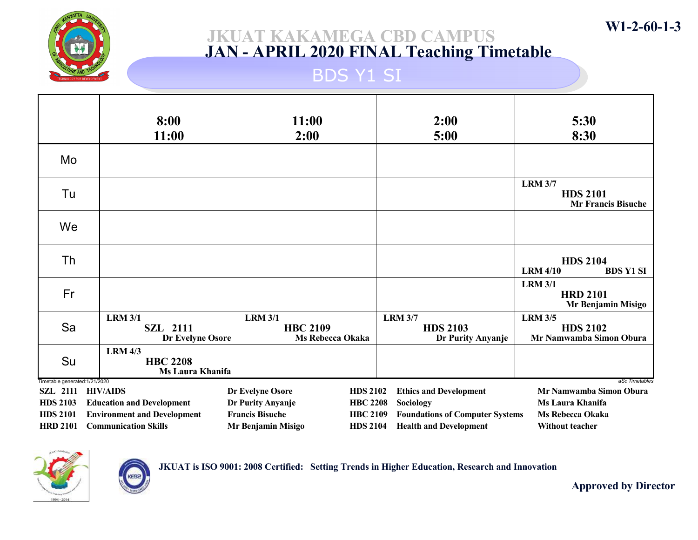

### JKUAT KAKAMEGA CBD CAMPUS JAN - APRIL 2020 FINAL Teaching Timetable

### BDS Y1 SI

|                                                   | 8:00<br>11:00                                         | 11:00<br>2:00                                                | 2:00<br>5:00                                           | 5:30<br>8:30                                                   |
|---------------------------------------------------|-------------------------------------------------------|--------------------------------------------------------------|--------------------------------------------------------|----------------------------------------------------------------|
| Mo                                                |                                                       |                                                              |                                                        |                                                                |
| Tu                                                |                                                       |                                                              |                                                        | <b>LRM 3/7</b><br><b>HDS 2101</b><br><b>Mr Francis Bisuche</b> |
| We                                                |                                                       |                                                              |                                                        |                                                                |
| Th                                                |                                                       |                                                              |                                                        | <b>HDS 2104</b><br><b>LRM 4/10</b><br><b>BDS Y1 SI</b>         |
| Fr                                                |                                                       |                                                              |                                                        | <b>LRM 3/1</b><br><b>HRD 2101</b><br>Mr Benjamin Misigo        |
| Sa                                                | <b>LRM 3/1</b><br><b>SZL 2111</b><br>Dr Evelyne Osore | <b>LRM 3/1</b><br><b>HBC 2109</b><br><b>Ms Rebecca Okaka</b> | <b>LRM 3/7</b><br><b>HDS 2103</b><br>Dr Purity Anyanje | <b>LRM 3/5</b><br><b>HDS 2102</b><br>Mr Namwamba Simon Obura   |
| Su                                                | <b>LRM 4/3</b><br><b>HBC 2208</b><br>Ms Laura Khanifa |                                                              |                                                        |                                                                |
| Timetable generated: 1/21/2020<br><b>SZL 2111</b> | <b>HIV/AIDS</b>                                       | Dr Evelyne Osore<br><b>HDS 2102</b>                          | <b>Ethics and Development</b>                          | aSc Timetables<br>Mr Namwamba Simon Obura                      |
| <b>HDS 2103</b>                                   | <b>Education and Development</b>                      | Dr Purity Anyanje<br><b>HBC 2208</b>                         | Sociology                                              | Ms Laura Khanifa                                               |
| <b>HDS 2101</b>                                   | <b>Environment and Development</b>                    | <b>Francis Bisuche</b><br><b>HBC 2109</b>                    | <b>Foundations of Computer Systems</b>                 | <b>Ms Rebecca Okaka</b>                                        |
| <b>HRD 2101</b>                                   | <b>Communication Skills</b>                           | Mr Benjamin Misigo<br><b>HDS 2104</b>                        | <b>Health and Development</b>                          | <b>Without teacher</b>                                         |



KEBa

JKUAT is ISO 9001: 2008 Certified: Setting Trends in Higher Education, Research and Innovation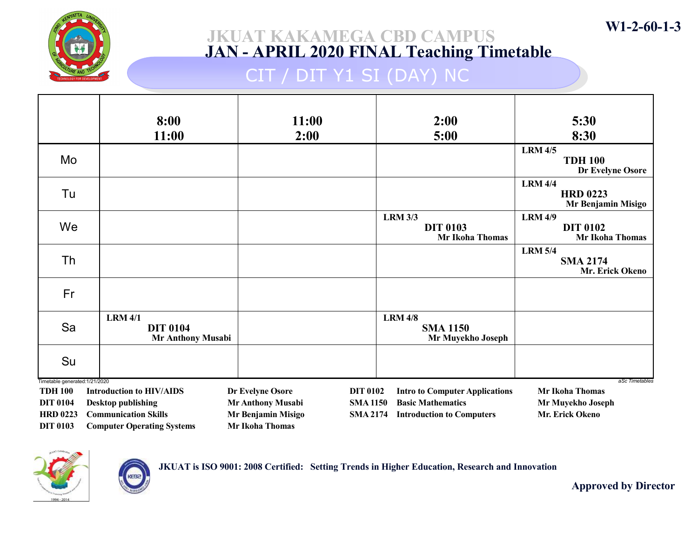

## CIT / DIT Y1 SI (DAY) NC

|                                                 | 8:00                                                          | 11:00                  |                 | 2:00                                      | 5:30                                                        |
|-------------------------------------------------|---------------------------------------------------------------|------------------------|-----------------|-------------------------------------------|-------------------------------------------------------------|
|                                                 | 11:00                                                         | 2:00                   |                 | 5:00                                      | 8:30                                                        |
| Mo                                              |                                                               |                        |                 |                                           | <b>LRM 4/5</b><br><b>TDH 100</b><br>Dr Evelyne Osore        |
| Tu                                              |                                                               |                        |                 |                                           | <b>LRM 4/4</b><br><b>HRD 0223</b><br>Mr Benjamin Misigo     |
| We                                              |                                                               |                        | <b>LRM 3/3</b>  | <b>DIT 0103</b><br><b>Mr Ikoha Thomas</b> | <b>LRM 4/9</b><br><b>DIT 0102</b><br><b>Mr Ikoha Thomas</b> |
| Th                                              |                                                               |                        |                 |                                           | <b>LRM 5/4</b><br><b>SMA 2174</b><br>Mr. Erick Okeno        |
| Fr                                              |                                                               |                        |                 |                                           |                                                             |
| Sa                                              | <b>LRM 4/1</b><br><b>DIT 0104</b><br><b>Mr Anthony Musabi</b> |                        | <b>LRM 4/8</b>  | <b>SMA 1150</b><br>Mr Muyekho Joseph      |                                                             |
| Su                                              |                                                               |                        |                 |                                           |                                                             |
| Timetable generated:1/21/2020<br><b>TDH 100</b> | <b>Introduction to HIV/AIDS</b>                               | Dr Evelyne Osore       | <b>DIT 0102</b> | <b>Intro to Computer Applications</b>     | aSc Timetables<br><b>Mr Ikoha Thomas</b>                    |
| <b>DIT 0104</b>                                 | <b>Desktop publishing</b>                                     | Mr Anthony Musabi      | <b>SMA1150</b>  | <b>Basic Mathematics</b>                  | Mr Muyekho Joseph                                           |
| <b>HRD 0223</b>                                 | <b>Communication Skills</b>                                   | Mr Benjamin Misigo     | <b>SMA 2174</b> | <b>Introduction to Computers</b>          | Mr. Erick Okeno                                             |
| <b>DIT 0103</b>                                 | <b>Computer Operating Systems</b>                             | <b>Mr Ikoha Thomas</b> |                 |                                           |                                                             |



KEBa

JKUAT is ISO 9001: 2008 Certified: Setting Trends in Higher Education, Research and Innovation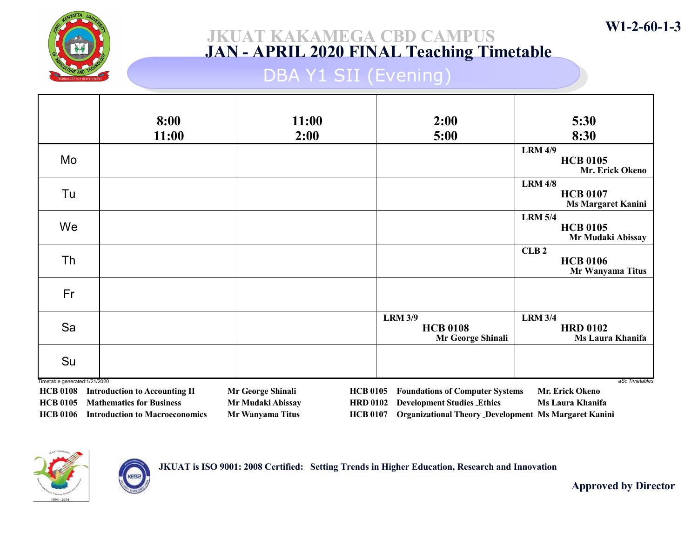

### JKUAT KAKAMEGA CBD CAMPUS JAN - APRIL 2020 FINAL Teaching Timetable

## DBA Y1 SII (Evening)

|                                                                      | 8:00<br>11:00                                                                                                             | 11:00<br>2:00                                              | 2:00<br>5:00                                                                                                                                                                                        | 5:30<br>8:30                                                   |
|----------------------------------------------------------------------|---------------------------------------------------------------------------------------------------------------------------|------------------------------------------------------------|-----------------------------------------------------------------------------------------------------------------------------------------------------------------------------------------------------|----------------------------------------------------------------|
| Mo                                                                   |                                                                                                                           |                                                            |                                                                                                                                                                                                     | <b>LRM 4/9</b><br><b>HCB 0105</b><br>Mr. Erick Okeno           |
| Tu                                                                   |                                                                                                                           |                                                            |                                                                                                                                                                                                     | <b>LRM 4/8</b><br><b>HCB 0107</b><br><b>Ms Margaret Kanini</b> |
| We                                                                   |                                                                                                                           |                                                            |                                                                                                                                                                                                     | <b>LRM 5/4</b><br><b>HCB 0105</b><br>Mr Mudaki Abissay         |
| Th                                                                   |                                                                                                                           |                                                            |                                                                                                                                                                                                     | CLB <sub>2</sub><br><b>HCB 0106</b><br>Mr Wanyama Titus        |
| Fr                                                                   |                                                                                                                           |                                                            |                                                                                                                                                                                                     |                                                                |
| Sa                                                                   |                                                                                                                           |                                                            | <b>LRM 3/9</b><br><b>HCB 0108</b><br>Mr George Shinali                                                                                                                                              | <b>LRM 3/4</b><br><b>HRD 0102</b><br><b>Ms Laura Khanifa</b>   |
| Su                                                                   |                                                                                                                           |                                                            |                                                                                                                                                                                                     |                                                                |
| Timetable generated: 1/21/2020<br><b>HCB 0108</b><br><b>HCB 0105</b> | <b>Introduction to Accounting II</b><br><b>Mathematics for Business</b><br><b>HCB 0106</b> Introduction to Macroeconomics | Mr George Shinali<br>Mr Mudaki Abissay<br>Mr Wanyama Titus | <b>HCB 0105</b><br><b>Foundations of Computer Systems</b><br><b>Development Studies Ethics</b><br><b>HRD 0102</b><br><b>HCB 0107</b><br><b>Organizational Theory Development Ms Margaret Kanini</b> | aSc Timetables<br>Mr. Erick Okeno<br><b>Ms Laura Khanifa</b>   |



**KEB** 

JKUAT is ISO 9001: 2008 Certified: Setting Trends in Higher Education, Research and Innovation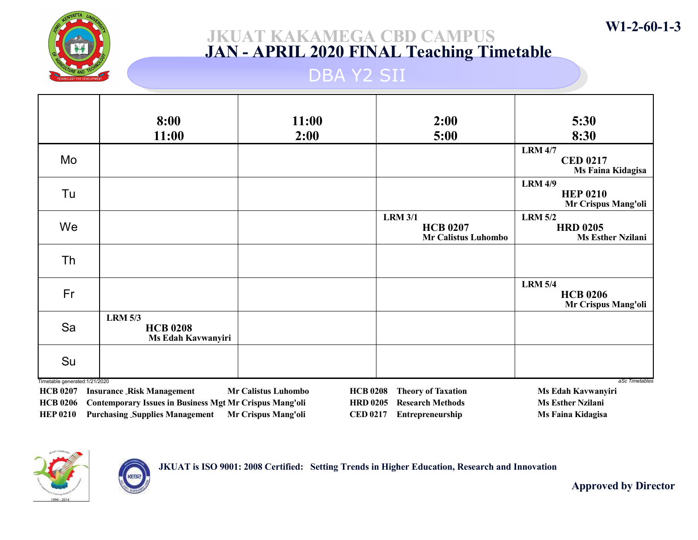

### JKUAT KAKAMEGA CBD CAMPUS JAN - APRIL 2020 FINAL Teaching Timetable

### DBA Y2 SII

|                                           | 8:00<br>11:00                                           | 11:00<br>2:00                | 2:00<br>5:00                                                    | 5:30<br>8:30                                                  |
|-------------------------------------------|---------------------------------------------------------|------------------------------|-----------------------------------------------------------------|---------------------------------------------------------------|
| Mo                                        |                                                         |                              |                                                                 | <b>LRM 4/7</b><br><b>CED 0217</b><br>Ms Faina Kidagisa        |
| Tu                                        |                                                         |                              |                                                                 | <b>LRM 4/9</b><br><b>HEP 0210</b><br>Mr Crispus Mang'oli      |
| We                                        |                                                         |                              | <b>LRM 3/1</b><br><b>HCB 0207</b><br><b>Mr Calistus Luhombo</b> | <b>LRM 5/2</b><br><b>HRD 0205</b><br><b>Ms Esther Nzilani</b> |
| <b>Th</b>                                 |                                                         |                              |                                                                 |                                                               |
| Fr                                        |                                                         |                              |                                                                 | <b>LRM 5/4</b><br><b>HCB 0206</b><br>Mr Crispus Mang'oli      |
| Sa                                        | <b>LRM 5/3</b><br><b>HCB 0208</b><br>Ms Edah Kavwanyiri |                              |                                                                 |                                                               |
| Su                                        |                                                         |                              |                                                                 |                                                               |
| Timetable generated:1/21/2020<br>TICDAAAB | $\mathbf{D}$ as $\mathbf{D}$                            | $\mathbf{M} \cap \mathbf{N}$ | $\mathbf{H} \cap \mathbf{A}$                                    | aSc Timetables<br>$\cdot$ .<br>$\mathbf{M}$ DIIT              |

HCB 0207 Insurance Risk Management Mr Calistus Luhombo HCB 0206 Contemporary Issues in Business Mgt Mr Crispus Mang'oli HEP 0210 Purchasing Supplies Management Mr Crispus Mang'oli

HCB 0208 Theory of Taxation Ms Edah Kavwanyiri HRD 0205 Research Methods Ms Esther Nzilani CED 0217 Entrepreneurship Ms Faina Kidagisa



JKUAT is ISO 9001: 2008 Certified: Setting Trends in Higher Education, Research and Innovation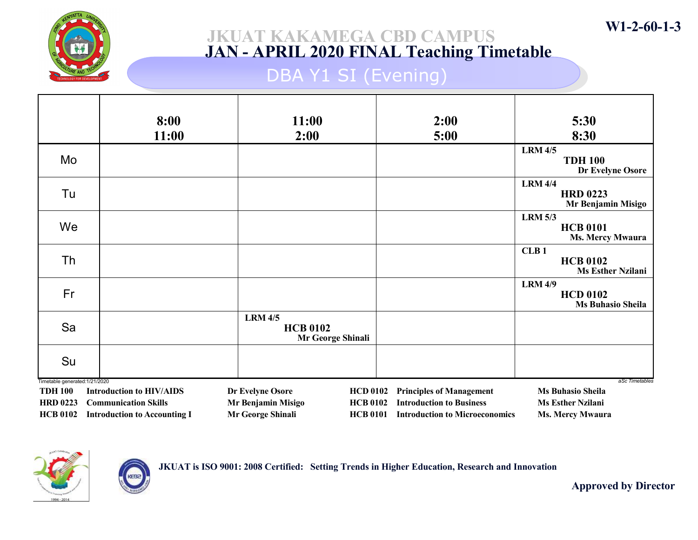

### JKUAT KAKAMEGA CBD CAMPUS JAN - APRIL 2020 FINAL Teaching Timetable

## DBA Y1 SI (Evening)

|                                                  | 8:00<br>11:00                       | 11:00<br>2:00                                          | 2:00<br>5:00                          | 5:30<br>8:30                                                    |
|--------------------------------------------------|-------------------------------------|--------------------------------------------------------|---------------------------------------|-----------------------------------------------------------------|
| Mo                                               |                                     |                                                        |                                       | <b>LRM 4/5</b><br><b>TDH 100</b><br>Dr Evelyne Osore            |
| Tu                                               |                                     |                                                        |                                       | <b>LRM 4/4</b><br><b>HRD 0223</b><br>Mr Benjamin Misigo         |
| We                                               |                                     |                                                        |                                       | <b>LRM 5/3</b><br><b>HCB 0101</b><br><b>Ms. Mercy Mwaura</b>    |
| Th                                               |                                     |                                                        |                                       | CLB <sub>1</sub><br><b>HCB 0102</b><br><b>Ms Esther Nzilani</b> |
| Fr                                               |                                     |                                                        |                                       | <b>LRM 4/9</b><br><b>HCD 0102</b><br><b>Ms Buhasio Sheila</b>   |
| Sa                                               |                                     | <b>LRM 4/5</b><br><b>HCB 0102</b><br>Mr George Shinali |                                       |                                                                 |
| Su                                               |                                     |                                                        |                                       |                                                                 |
| Timetable generated: 1/21/2020<br><b>TDH 100</b> | <b>Introduction to HIV/AIDS</b>     | Dr Evelyne Osore<br><b>HCD 0102</b>                    | <b>Principles of Management</b>       | aSc Timetables<br><b>Ms Buhasio Sheila</b>                      |
| <b>HRD 0223</b>                                  | <b>Communication Skills</b>         | Mr Benjamin Misigo<br><b>HCB 0102</b>                  | <b>Introduction to Business</b>       | <b>Ms Esther Nzilani</b>                                        |
| <b>HCB 0102</b>                                  | <b>Introduction to Accounting I</b> | Mr George Shinali<br><b>HCB 0101</b>                   | <b>Introduction to Microeconomics</b> | <b>Ms. Mercy Mwaura</b>                                         |



**KEB** 

JKUAT is ISO 9001: 2008 Certified: Setting Trends in Higher Education, Research and Innovation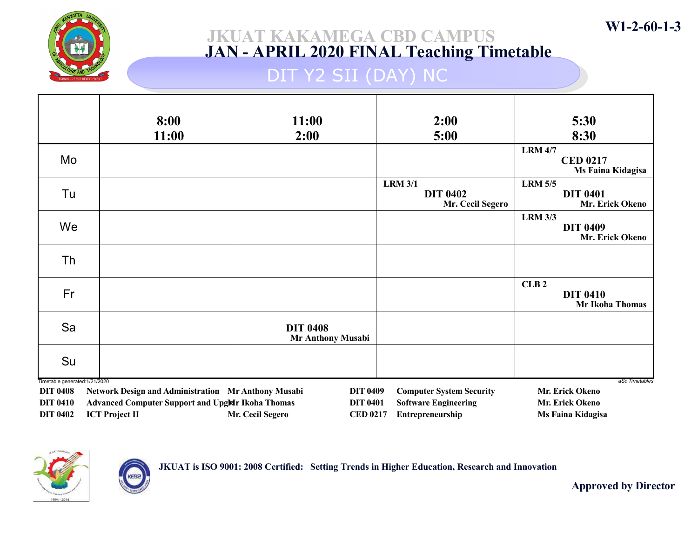

## DIT Y2 SII (DAY) NC

|                                                   | 8:00                                                    | 11:00                                       | 2:00                                                  | 5:30                                                          |
|---------------------------------------------------|---------------------------------------------------------|---------------------------------------------|-------------------------------------------------------|---------------------------------------------------------------|
|                                                   | 11:00                                                   | 2:00                                        | 5:00                                                  | 8:30                                                          |
| Mo                                                |                                                         |                                             |                                                       | <b>LRM 4/7</b><br><b>CED 0217</b><br>Ms Faina Kidagisa        |
| Tu                                                |                                                         |                                             | <b>LRM 3/1</b><br><b>DIT 0402</b><br>Mr. Cecil Segero | <b>LRM 5/5</b><br><b>DIT 0401</b><br>Mr. Erick Okeno          |
| We                                                |                                                         |                                             |                                                       | <b>LRM 3/3</b><br><b>DIT 0409</b><br>Mr. Erick Okeno          |
| Th                                                |                                                         |                                             |                                                       |                                                               |
| Fr                                                |                                                         |                                             |                                                       | CLB <sub>2</sub><br><b>DIT 0410</b><br><b>Mr Ikoha Thomas</b> |
| Sa                                                |                                                         | <b>DIT 0408</b><br><b>Mr Anthony Musabi</b> |                                                       |                                                               |
| Su                                                |                                                         |                                             |                                                       |                                                               |
| Timetable generated: 1/21/2020<br><b>DIT 0408</b> | Network Design and Administration Mr Anthony Musabi     | <b>DIT 0409</b>                             | <b>Computer System Security</b>                       | aSc Timetables<br>Mr. Erick Okeno                             |
| <b>DIT 0410</b>                                   | <b>Advanced Computer Support and UpgMr Ikoha Thomas</b> | <b>DIT 0401</b>                             | <b>Software Engineering</b>                           | Mr. Erick Okeno                                               |
| <b>DIT 0402</b>                                   | <b>ICT Project II</b>                                   | Mr. Cecil Segero<br><b>CED 0217</b>         | Entrepreneurship                                      | <b>Ms Faina Kidagisa</b>                                      |



**KEB** 

JKUAT is ISO 9001: 2008 Certified: Setting Trends in Higher Education, Research and Innovation

Approved by Director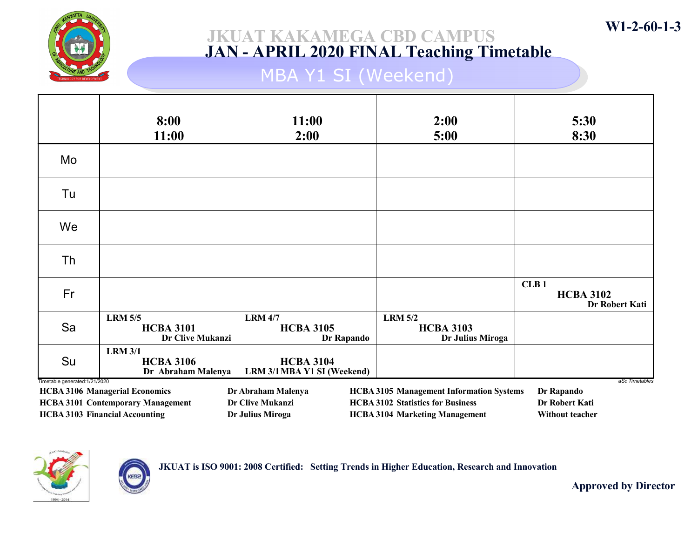

## MBA Y1 SI (Weekend)

|                                | 8:00<br>11:00                                                                                                              | 11:00<br>2:00                                                     | 2:00<br>5:00                                                                                                                         | 5:30<br>8:30                                                      |
|--------------------------------|----------------------------------------------------------------------------------------------------------------------------|-------------------------------------------------------------------|--------------------------------------------------------------------------------------------------------------------------------------|-------------------------------------------------------------------|
| Mo                             |                                                                                                                            |                                                                   |                                                                                                                                      |                                                                   |
| Tu                             |                                                                                                                            |                                                                   |                                                                                                                                      |                                                                   |
| We                             |                                                                                                                            |                                                                   |                                                                                                                                      |                                                                   |
| Th                             |                                                                                                                            |                                                                   |                                                                                                                                      |                                                                   |
| Fr                             |                                                                                                                            |                                                                   |                                                                                                                                      | CLB <sub>1</sub><br><b>HCBA 3102</b><br>Dr Robert Kati            |
| Sa                             | <b>LRM 5/5</b><br><b>HCBA 3101</b><br>Dr Clive Mukanzi                                                                     | <b>LRM 4/7</b><br><b>HCBA 3105</b><br>Dr Rapando                  | <b>LRM 5/2</b><br><b>HCBA 3103</b><br>Dr Julius Miroga                                                                               |                                                                   |
| Su                             | <b>LRM 3/1</b><br><b>HCBA 3106</b><br>Dr Abraham Malenya                                                                   | <b>HCBA 3104</b><br>LRM 3/1 MBA Y1 SI (Weekend)                   |                                                                                                                                      |                                                                   |
| Timetable generated: 1/21/2020 | <b>HCBA 3106 Managerial Economics</b><br><b>HCBA 3101 Contemporary Management</b><br><b>HCBA 3103 Financial Accounting</b> | Dr Abraham Malenya<br><b>Dr Clive Mukanzi</b><br>Dr Julius Miroga | <b>HCBA 3105 Management Information Systems</b><br><b>HCBA 3102 Statistics for Business</b><br><b>HCBA 3104 Marketing Management</b> | aSc Timetables<br>Dr Rapando<br>Dr Robert Kati<br>Without teacher |



KEBa



Approved by Director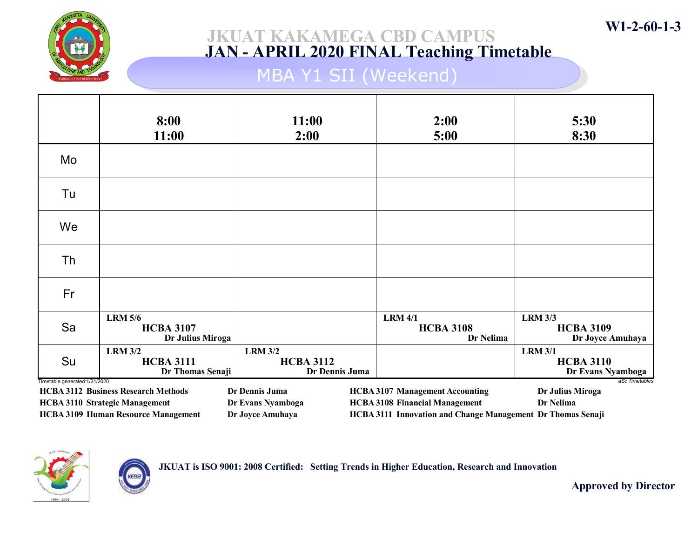

## MBA Y1 SII (Weekend)

|                               | 8:00<br>11:00                                                                                                                     | 11:00<br>2:00                                           | 2:00<br>5:00                                                                                                                                          | 5:30<br>8:30                                            |
|-------------------------------|-----------------------------------------------------------------------------------------------------------------------------------|---------------------------------------------------------|-------------------------------------------------------------------------------------------------------------------------------------------------------|---------------------------------------------------------|
| Mo                            |                                                                                                                                   |                                                         |                                                                                                                                                       |                                                         |
| Tu                            |                                                                                                                                   |                                                         |                                                                                                                                                       |                                                         |
| We                            |                                                                                                                                   |                                                         |                                                                                                                                                       |                                                         |
| Th                            |                                                                                                                                   |                                                         |                                                                                                                                                       |                                                         |
| Fr                            |                                                                                                                                   |                                                         |                                                                                                                                                       |                                                         |
| Sa                            | <b>LRM 5/6</b><br><b>HCBA 3107</b><br>Dr Julius Miroga                                                                            |                                                         | <b>LRM 4/1</b><br><b>HCBA 3108</b><br>Dr Nelima                                                                                                       | <b>LRM 3/3</b><br><b>HCBA 3109</b><br>Dr Joyce Amuhaya  |
| Su                            | <b>LRM 3/2</b><br><b>HCBA 3111</b><br>Dr Thomas Senaji                                                                            | <b>LRM 3/2</b><br><b>HCBA 3112</b><br>Dr Dennis Juma    |                                                                                                                                                       | <b>LRM 3/1</b><br><b>HCBA 3110</b><br>Dr Evans Nyamboga |
| Timetable generated:1/21/2020 | <b>HCBA 3112 Business Research Methods</b><br><b>HCBA 3110 Strategic Management</b><br><b>HCBA 3109 Human Resource Management</b> | Dr Dennis Juma<br>Dr Evans Nyamboga<br>Dr Joyce Amuhaya | <b>HCBA 3107 Management Accounting</b><br><b>HCBA 3108 Financial Management</b><br><b>HCBA 3111 Innovation and Change Management Dr Thomas Senaji</b> | aSc Timetables<br>Dr Julius Miroga<br>Dr Nelima         |



JKUAT is ISO 9001: 2008 Certified: Setting Trends in Higher Education, Research and Innovation

Approved by Director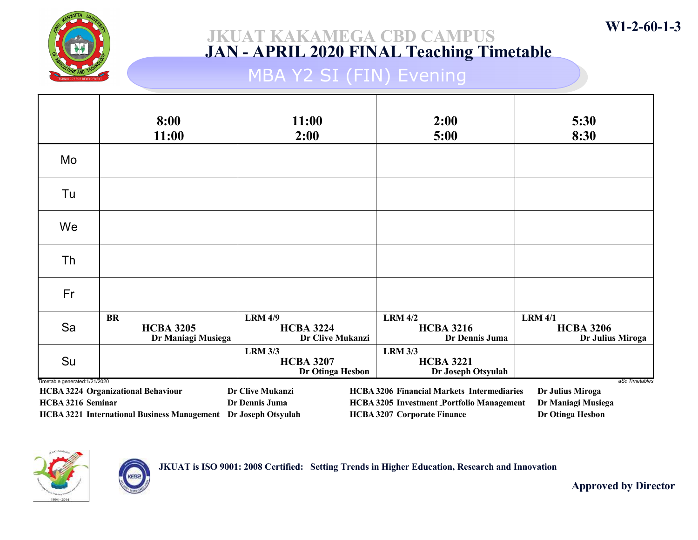

## MBA Y2 SI (FIN) Evening

|                                | 8:00<br>11:00                                                  | 11:00<br>2:00                                          | 2:00<br>5:00                                                                           | 5:30<br>8:30                                           |
|--------------------------------|----------------------------------------------------------------|--------------------------------------------------------|----------------------------------------------------------------------------------------|--------------------------------------------------------|
| Mo                             |                                                                |                                                        |                                                                                        |                                                        |
| Tu                             |                                                                |                                                        |                                                                                        |                                                        |
| We                             |                                                                |                                                        |                                                                                        |                                                        |
| Th                             |                                                                |                                                        |                                                                                        |                                                        |
| Fr                             |                                                                |                                                        |                                                                                        |                                                        |
| Sa                             | <b>BR</b><br><b>HCBA 3205</b><br>Dr Maniagi Musiega            | <b>LRM 4/9</b><br><b>HCBA 3224</b><br>Dr Clive Mukanzi | <b>LRM 4/2</b><br><b>HCBA 3216</b><br>Dr Dennis Juma                                   | <b>LRM 4/1</b><br><b>HCBA 3206</b><br>Dr Julius Miroga |
| Su                             |                                                                | <b>LRM 3/3</b><br><b>HCBA 3207</b><br>Dr Otinga Hesbon | <b>LRM 3/3</b><br><b>HCBA 3221</b><br>Dr Joseph Otsyulah                               |                                                        |
| Timetable generated: 1/21/2020 | HCBA 3224 Organizational Behaviour                             | Dr Clive Mukanzi                                       | <b>HCBA 3206 Financial Markets Intermediaries</b>                                      | aSc Timetables<br>Dr Julius Miroga                     |
| HCBA 3216 Seminar              | HCBA 3221 International Business Management Dr Joseph Otsyulah | Dr Dennis Juma                                         | <b>HCBA 3205 Investment Portfolio Management</b><br><b>HCBA 3207 Corporate Finance</b> | Dr Maniagi Musiega<br>Dr Otinga Hesbon                 |



KEBa

JKUAT is ISO 9001: 2008 Certified: Setting Trends in Higher Education, Research and Innovation

Approved by Director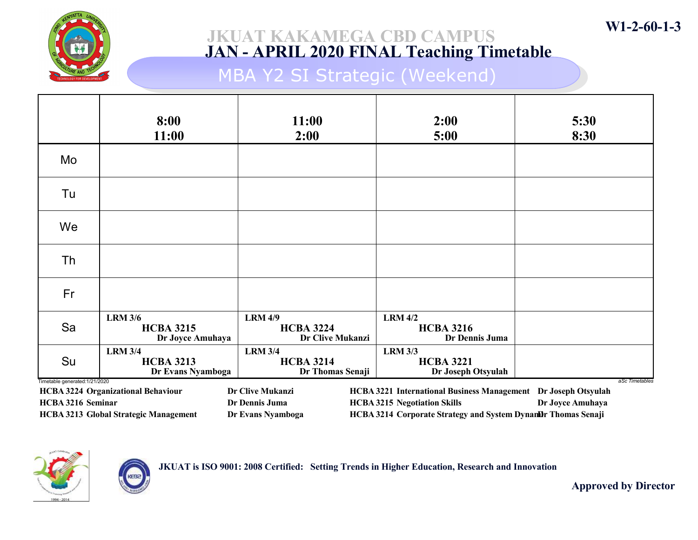

## MBA Y2 SI Strategic (Weekend)

|                                | 8:00<br>11:00                                                                                                                      | 11:00<br>2:00                                          | 2:00<br>5:00                                             | 5:30<br>8:30                         |
|--------------------------------|------------------------------------------------------------------------------------------------------------------------------------|--------------------------------------------------------|----------------------------------------------------------|--------------------------------------|
| Mo                             |                                                                                                                                    |                                                        |                                                          |                                      |
| Tu                             |                                                                                                                                    |                                                        |                                                          |                                      |
| We                             |                                                                                                                                    |                                                        |                                                          |                                      |
| Th                             |                                                                                                                                    |                                                        |                                                          |                                      |
| Fr                             |                                                                                                                                    |                                                        |                                                          |                                      |
| Sa                             | <b>LRM 3/6</b><br><b>HCBA 3215</b><br>Dr Joyce Amuhaya                                                                             | <b>LRM 4/9</b><br><b>HCBA 3224</b><br>Dr Clive Mukanzi | <b>LRM 4/2</b><br><b>HCBA 3216</b><br>Dr Dennis Juma     |                                      |
| Su                             | <b>LRM 3/4</b><br><b>HCBA 3213</b><br>Dr Evans Nyamboga                                                                            | <b>LRM 3/4</b><br><b>HCBA 3214</b><br>Dr Thomas Senaji | <b>LRM 3/3</b><br><b>HCBA 3221</b><br>Dr Joseph Otsyulah |                                      |
| Timetable generated: 1/21/2020 | <b>HCBA 3224 Organizational Behaviour</b>                                                                                          | Dr Clive Mukanzi                                       | <b>HCBA 3221 International Business Management</b>       | aSc Timetables<br>Dr Joseph Otsyulah |
| HCBA 3216 Seminar              |                                                                                                                                    | Dr Dennis Juma                                         | <b>HCBA 3215 Negotiation Skills</b>                      | Dr Joyce Amuhaya                     |
|                                | <b>HCBA 3213 Global Strategic Management</b><br>HCBA 3214 Corporate Strategy and System Dynambr Thomas Senaji<br>Dr Evans Nyamboga |                                                        |                                                          |                                      |



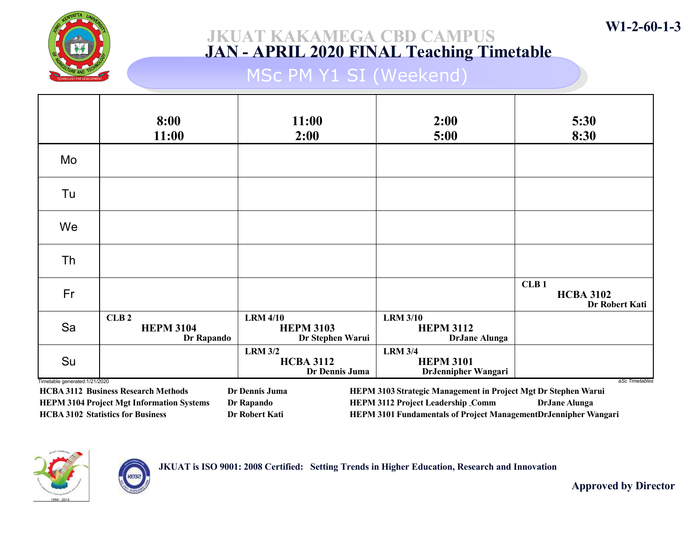

## MSc PM Y1 SI (Weekend)

|                                     | 8:00<br>11:00                          | 11:00<br>2:00                                           | 2:00<br>5:00                                                | 5:30<br>8:30                               |
|-------------------------------------|----------------------------------------|---------------------------------------------------------|-------------------------------------------------------------|--------------------------------------------|
| Mo                                  |                                        |                                                         |                                                             |                                            |
| Tu                                  |                                        |                                                         |                                                             |                                            |
| We                                  |                                        |                                                         |                                                             |                                            |
| Th                                  |                                        |                                                         |                                                             |                                            |
| Fr                                  |                                        |                                                         |                                                             | CLB1<br><b>HCBA 3102</b><br>Dr Robert Kati |
| Sa                                  | CLB2<br><b>HEPM 3104</b><br>Dr Rapando | <b>LRM 4/10</b><br><b>HEPM 3103</b><br>Dr Stephen Warui | <b>LRM 3/10</b><br><b>HEPM 3112</b><br><b>DrJane Alunga</b> |                                            |
| Su<br>Timetable generated:1/21/2020 |                                        | <b>LRM 3/2</b><br><b>HCBA 3112</b><br>Dr Dennis Juma    | <b>LRM 3/4</b><br><b>HEPM 3101</b><br>DrJennipher Wangari   | aSc Timetables                             |

HCBA 3112 Business Research Methods Dr Dennis Juma HEPM 3104 Project Mgt Information Systems Dr Rapando HCBA 3102 Statistics for Business Dr Robert Kati

HEPM 3103 Strategic Management in Project Mgt Dr Stephen Warui HEPM 3112 Project Leadership Comm DrJane Alunga HEPM 3101 Fundamentals of Project ManagementDrJennipher Wangari



JKUAT is ISO 9001: 2008 Certified: Setting Trends in Higher Education, Research and Innovation

Approved by Director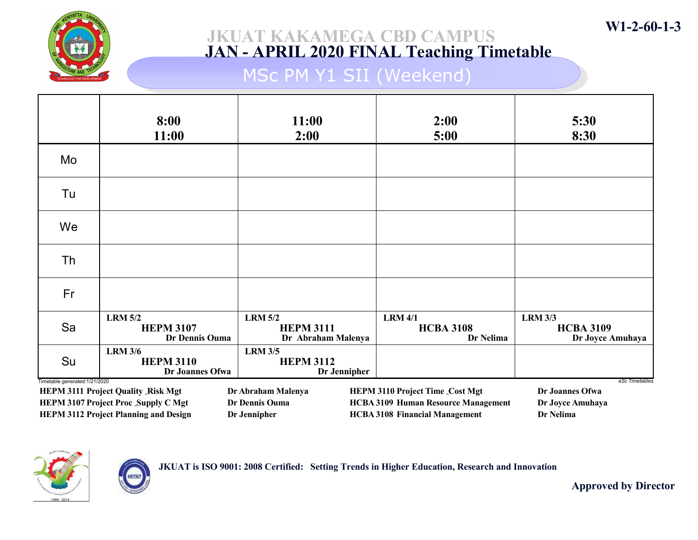

## MSc PM Y1 SII (Weekend)

|    | 8:00<br>11:00                                                                                                                                                              | 11:00<br>2:00                                            | 2:00<br>5:00                                    | 5:30<br>8:30                                           |  |  |
|----|----------------------------------------------------------------------------------------------------------------------------------------------------------------------------|----------------------------------------------------------|-------------------------------------------------|--------------------------------------------------------|--|--|
| Mo |                                                                                                                                                                            |                                                          |                                                 |                                                        |  |  |
| Tu |                                                                                                                                                                            |                                                          |                                                 |                                                        |  |  |
| We |                                                                                                                                                                            |                                                          |                                                 |                                                        |  |  |
| Th |                                                                                                                                                                            |                                                          |                                                 |                                                        |  |  |
| Fr |                                                                                                                                                                            |                                                          |                                                 |                                                        |  |  |
| Sa | <b>LRM 5/2</b><br><b>HEPM 3107</b><br>Dr Dennis Ouma                                                                                                                       | <b>LRM 5/2</b><br><b>HEPM 3111</b><br>Dr Abraham Malenya | <b>LRM 4/1</b><br><b>HCBA 3108</b><br>Dr Nelima | <b>LRM 3/3</b><br><b>HCBA 3109</b><br>Dr Joyce Amuhaya |  |  |
| Su | <b>LRM 3/6</b><br><b>HEPM 3110</b><br>Dr Joannes Ofwa                                                                                                                      | <b>LRM 3/5</b><br><b>HEPM 3112</b><br>Dr Jennipher       |                                                 |                                                        |  |  |
|    | Timetable generated: 1/21/2020<br>aSc Timetables<br><b>HEPM 3111 Project Quality _Risk Mgt</b><br>Dr Abraham Malenya<br>Dr Joannes Ofwa<br>HEPM 3110 Project Time_Cost Mgt |                                                          |                                                 |                                                        |  |  |
|    | <b>HEPM 3107 Project Proc_Supply C Mgt</b>                                                                                                                                 | Dr Dennis Ouma                                           | <b>HCBA 3109 Human Resource Management</b>      | Dr Joyce Amuhaya                                       |  |  |

HEPM 3112 Project Planning and Design Dr Jennipher

HCBA 3108 Financial Management Dr Nelima



JKUAT is ISO 9001: 2008 Certified: Setting Trends in Higher Education, Research and Innovation

Approved by Director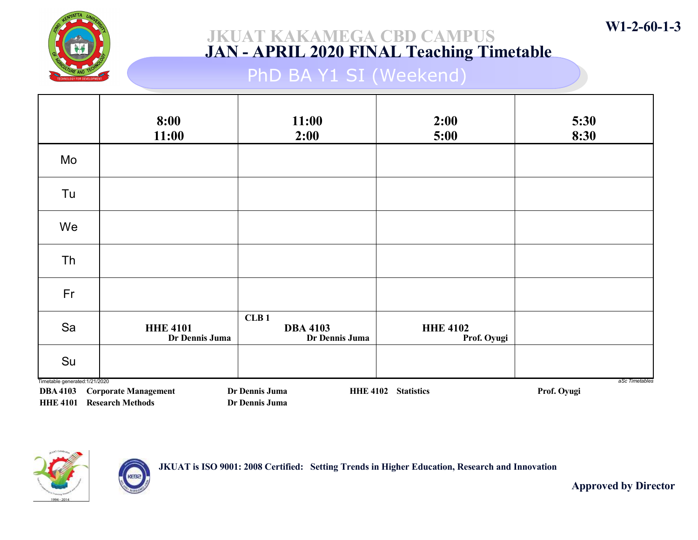

# PhD BA Y1 SI (Weekend)

|                                                   | 8:00<br>11:00                                                   | 11:00<br>2:00                             | 2:00<br>5:00                   | 5:30<br>8:30                  |
|---------------------------------------------------|-----------------------------------------------------------------|-------------------------------------------|--------------------------------|-------------------------------|
| Mo                                                |                                                                 |                                           |                                |                               |
| Tu                                                |                                                                 |                                           |                                |                               |
| We                                                |                                                                 |                                           |                                |                               |
| Th                                                |                                                                 |                                           |                                |                               |
| Fr                                                |                                                                 |                                           |                                |                               |
| Sa                                                | <b>HHE 4101</b><br>Dr Dennis Juma                               | CLB1<br><b>DBA 4103</b><br>Dr Dennis Juma | <b>HHE 4102</b><br>Prof. Oyugi |                               |
| Su                                                |                                                                 |                                           |                                |                               |
| Timetable generated: 1/21/2020<br><b>DBA 4103</b> | <b>Corporate Management</b><br><b>HHE 4101 Research Methods</b> | Dr Dennis Juma<br>Dr Dennis Juma          | HHE 4102 Statistics            | aSc Timetables<br>Prof. Oyugi |



KEBE

JKUAT is ISO 9001: 2008 Certified: Setting Trends in Higher Education, Research and Innovation

Approved by Director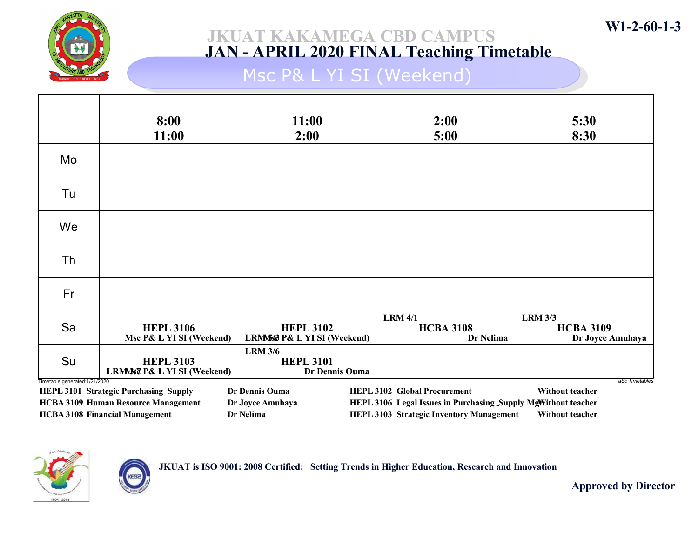

## Msc P& L YI SI (Weekend)

|                                | 8:00<br>11:00                                  | 11:00<br>2:00                                        | 2:00<br>5:00                                                  | 5:30<br>8:30                                           |
|--------------------------------|------------------------------------------------|------------------------------------------------------|---------------------------------------------------------------|--------------------------------------------------------|
| Mo                             |                                                |                                                      |                                                               |                                                        |
| Tu                             |                                                |                                                      |                                                               |                                                        |
| We                             |                                                |                                                      |                                                               |                                                        |
| Th                             |                                                |                                                      |                                                               |                                                        |
| Fr                             |                                                |                                                      |                                                               |                                                        |
| Sa                             | <b>HEPL 3106</b><br>Msc P& L YI SI (Weekend)   | <b>HEPL 3102</b><br>LRMS6 P& L YI SI (Weekend)       | <b>LRM 4/1</b><br><b>HCBA 3108</b><br>Dr Nelima               | <b>LRM 3/3</b><br><b>HCBA 3109</b><br>Dr Joyce Amuhaya |
| Su                             | <b>HEPL 3103</b><br>LRMS7 P& L YI SI (Weekend) | <b>LRM 3/6</b><br><b>HEPL 3101</b><br>Dr Dennis Ouma |                                                               |                                                        |
| Timetable generated: 1/21/2020 | HEPL 3101 Strategic Purchasing Supply          | Dr Dennis Ouma                                       | <b>HEPL 3102 Global Procurement</b>                           | aSc Timetables<br>Without teacher                      |
|                                | <b>HCBA 3109 Human Resource Management</b>     | Dr Joyce Amuhaya                                     | HEPL 3106 Legal Issues in Purchasing Supply MgWithout teacher |                                                        |

HCBA 3108 Financial Management Dr Nelima

HEPL 3106 Legal Issues in Purchasing Supply MgWithout teacher HEPL 3103 Strategic Inventory Management Without teacher



JKUAT is ISO 9001: 2008 Certified: Setting Trends in Higher Education, Research and Innovation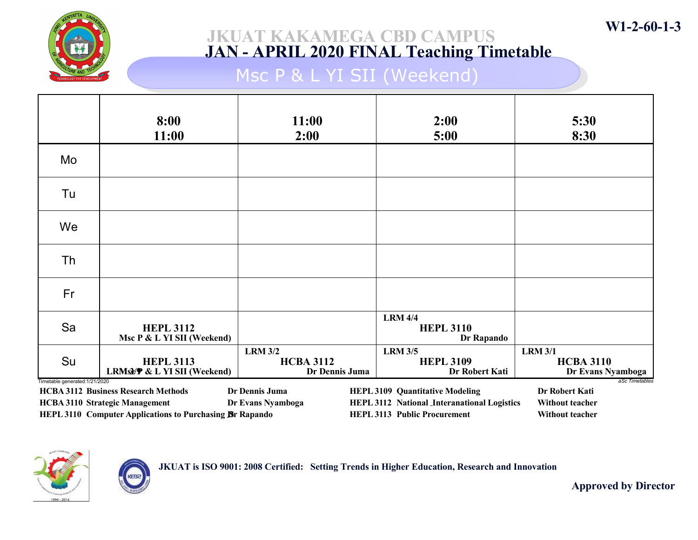

## Msc P & L YI SII (Weekend)

|    | 8:00<br>11:00                                                                                                                                                                                                                                                                                                                                                                                                                                            | 11:00<br>2:00                                        | 2:00<br>5:00                                         | 5:30<br>8:30                                            |  |
|----|----------------------------------------------------------------------------------------------------------------------------------------------------------------------------------------------------------------------------------------------------------------------------------------------------------------------------------------------------------------------------------------------------------------------------------------------------------|------------------------------------------------------|------------------------------------------------------|---------------------------------------------------------|--|
| Mo |                                                                                                                                                                                                                                                                                                                                                                                                                                                          |                                                      |                                                      |                                                         |  |
| Tu |                                                                                                                                                                                                                                                                                                                                                                                                                                                          |                                                      |                                                      |                                                         |  |
| We |                                                                                                                                                                                                                                                                                                                                                                                                                                                          |                                                      |                                                      |                                                         |  |
| Th |                                                                                                                                                                                                                                                                                                                                                                                                                                                          |                                                      |                                                      |                                                         |  |
| Fr |                                                                                                                                                                                                                                                                                                                                                                                                                                                          |                                                      |                                                      |                                                         |  |
| Sa | <b>HEPL 3112</b><br>Msc P & L YI SII (Weekend)                                                                                                                                                                                                                                                                                                                                                                                                           |                                                      | <b>LRM 4/4</b><br><b>HEPL 3110</b><br>Dr Rapando     |                                                         |  |
| Su | <b>HEPL 3113</b><br><b>LRMsd/P &amp; L YI SII (Weekend)</b>                                                                                                                                                                                                                                                                                                                                                                                              | <b>LRM 3/2</b><br><b>HCBA 3112</b><br>Dr Dennis Juma | <b>LRM 3/5</b><br><b>HEPL 3109</b><br>Dr Robert Kati | <b>LRM 3/1</b><br><b>HCBA 3110</b><br>Dr Evans Nyamboga |  |
|    | Timetable generated: 1/21/2020<br>aSc Timetables<br>Dr Dennis Juma<br>Dr Robert Kati<br><b>HCBA 3112 Business Research Methods</b><br><b>HEPL 3109 Quantitative Modeling</b><br>HEPL 3112 National Interanational Logistics<br><b>HCBA 3110 Strategic Management</b><br>Dr Evans Nyamboga<br><b>Without teacher</b><br>HEPL 3110 Computer Applications to Purchasing <b>B</b> r Rapando<br><b>HEPL 3113 Public Procurement</b><br><b>Without teacher</b> |                                                      |                                                      |                                                         |  |



JKUAT is ISO 9001: 2008 Certified: Setting Trends in Higher Education, Research and Innovation

Approved by Director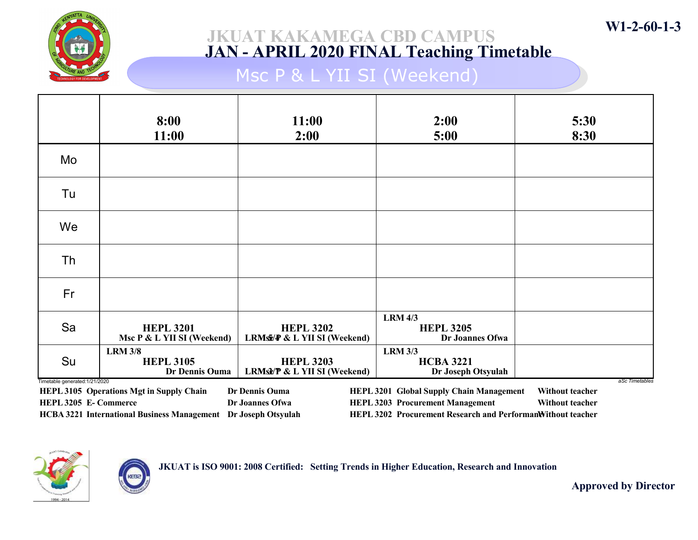

# Msc P & L YII SI (Weekend)

|                                                         | 8:00<br>11:00                                                                                                            | 11:00<br>2:00                                    | 2:00<br>5:00                                                                                                                                              | 5:30<br>8:30                                                |
|---------------------------------------------------------|--------------------------------------------------------------------------------------------------------------------------|--------------------------------------------------|-----------------------------------------------------------------------------------------------------------------------------------------------------------|-------------------------------------------------------------|
| Mo                                                      |                                                                                                                          |                                                  |                                                                                                                                                           |                                                             |
| Tu                                                      |                                                                                                                          |                                                  |                                                                                                                                                           |                                                             |
| We                                                      |                                                                                                                          |                                                  |                                                                                                                                                           |                                                             |
| Th                                                      |                                                                                                                          |                                                  |                                                                                                                                                           |                                                             |
| Fr                                                      |                                                                                                                          |                                                  |                                                                                                                                                           |                                                             |
| Sa                                                      | <b>HEPL 3201</b><br>Msc P & L YII SI (Weekend)                                                                           | <b>HEPL 3202</b><br>LRMs / & L YII SI (Weekend)  | <b>LRM 4/3</b><br><b>HEPL 3205</b><br>Dr Joannes Ofwa                                                                                                     |                                                             |
| Su                                                      | <b>LRM 3/8</b><br><b>HEPL 3105</b><br><b>Dr Dennis Ouma</b>                                                              | <b>HEPL 3203</b><br>LRMst/P & L YII SI (Weekend) | <b>LRM 3/3</b><br><b>HCBA 3221</b><br>Dr Joseph Otsyulah                                                                                                  |                                                             |
| Timetable generated: 1/21/2020<br>HEPL 3205 E- Commerce | <b>HEPL 3105 Operations Mgt in Supply Chain</b><br><b>HCBA 3221 International Business Management Dr Joseph Otsyulah</b> | Dr Dennis Ouma<br>Dr Joannes Ofwa                | <b>HEPL 3201 Global Supply Chain Management</b><br><b>HEPL 3203 Procurement Management</b><br>HEPL 3202 Procurement Research and PerformanWithout teacher | aSc Timetables<br>Without teacher<br><b>Without teacher</b> |



JKUAT is ISO 9001: 2008 Certified: Setting Trends in Higher Education, Research and Innovation

Approved by Director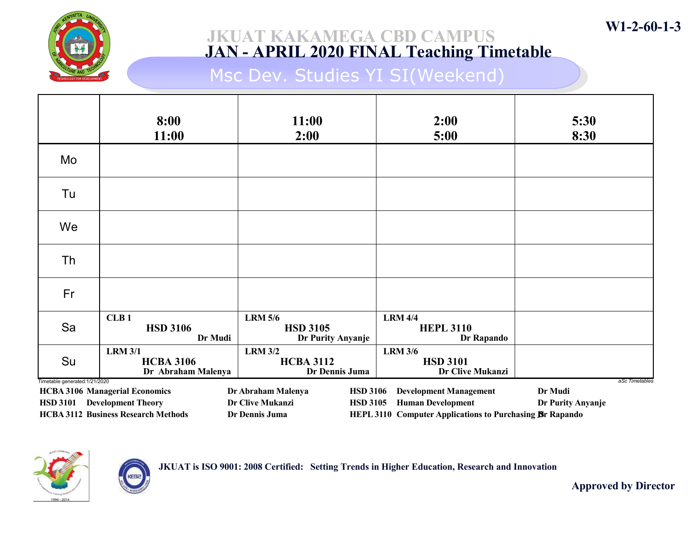

Msc Dev. Studies YI SI(Weekend)

|                                | 8:00<br>11:00                                                                                                      | 11:00<br>2:00                                                                                  | 2:00<br>5:00                                                                                                          | 5:30<br>8:30                                   |
|--------------------------------|--------------------------------------------------------------------------------------------------------------------|------------------------------------------------------------------------------------------------|-----------------------------------------------------------------------------------------------------------------------|------------------------------------------------|
| Mo                             |                                                                                                                    |                                                                                                |                                                                                                                       |                                                |
| Tu                             |                                                                                                                    |                                                                                                |                                                                                                                       |                                                |
| We                             |                                                                                                                    |                                                                                                |                                                                                                                       |                                                |
| Th                             |                                                                                                                    |                                                                                                |                                                                                                                       |                                                |
| Fr                             |                                                                                                                    |                                                                                                |                                                                                                                       |                                                |
| Sa                             | CLB <sub>1</sub><br><b>HSD 3106</b><br>Dr Mudi                                                                     | <b>LRM 5/6</b><br><b>HSD 3105</b><br>Dr Purity Anyanje                                         | <b>LRM 4/4</b><br><b>HEPL 3110</b><br>Dr Rapando                                                                      |                                                |
| Su                             | <b>LRM 3/1</b><br><b>HCBA 3106</b><br>Dr Abraham Malenya                                                           | <b>LRM 3/2</b><br><b>HCBA 3112</b><br>Dr Dennis Juma                                           | <b>LRM 3/6</b><br><b>HSD 3101</b><br><b>Dr Clive Mukanzi</b>                                                          |                                                |
| Timetable generated: 1/21/2020 | <b>HCBA 3106 Managerial Economics</b><br>HSD 3101 Development Theory<br><b>HCBA 3112 Business Research Methods</b> | Dr Abraham Malenya<br><b>HSD 3106</b><br>Dr Clive Mukanzi<br><b>HSD 3105</b><br>Dr Dennis Juma | <b>Development Management</b><br><b>Human Development</b><br>HEPL 3110 Computer Applications to Purchasing Br Rapando | aSc Timetables<br>Dr Mudi<br>Dr Purity Anyanje |



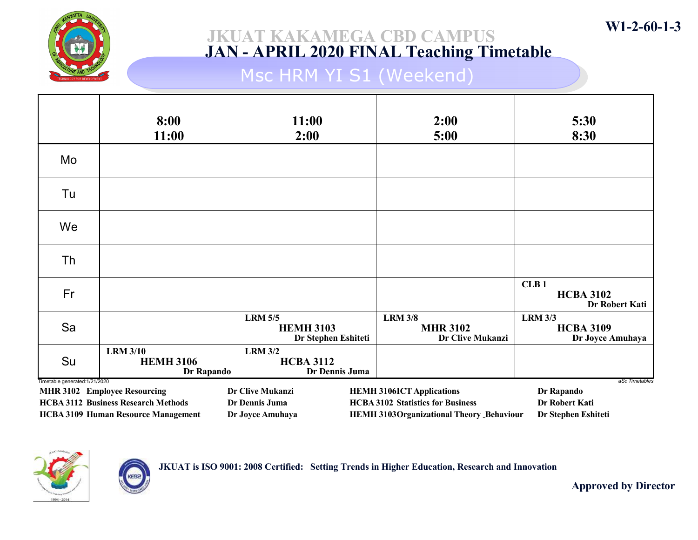

## Msc HRM YI S1 (Weekend)

|                                                                                                                                                                                                                                                                                                                                                                                                                                         | 8:00<br>11:00                                     | 11:00<br>2:00                                             | 2:00<br>5:00                                          | 5:30<br>8:30                                           |
|-----------------------------------------------------------------------------------------------------------------------------------------------------------------------------------------------------------------------------------------------------------------------------------------------------------------------------------------------------------------------------------------------------------------------------------------|---------------------------------------------------|-----------------------------------------------------------|-------------------------------------------------------|--------------------------------------------------------|
| Mo                                                                                                                                                                                                                                                                                                                                                                                                                                      |                                                   |                                                           |                                                       |                                                        |
| Tu                                                                                                                                                                                                                                                                                                                                                                                                                                      |                                                   |                                                           |                                                       |                                                        |
| We                                                                                                                                                                                                                                                                                                                                                                                                                                      |                                                   |                                                           |                                                       |                                                        |
| Th                                                                                                                                                                                                                                                                                                                                                                                                                                      |                                                   |                                                           |                                                       |                                                        |
| Fr                                                                                                                                                                                                                                                                                                                                                                                                                                      |                                                   |                                                           |                                                       | CLB <sub>1</sub><br><b>HCBA 3102</b><br>Dr Robert Kati |
| Sa                                                                                                                                                                                                                                                                                                                                                                                                                                      |                                                   | <b>LRM 5/5</b><br><b>HEMH 3103</b><br>Dr Stephen Eshiteti | <b>LRM 3/8</b><br><b>MHR 3102</b><br>Dr Clive Mukanzi | <b>LRM 3/3</b><br><b>HCBA 3109</b><br>Dr Joyce Amuhaya |
| Su                                                                                                                                                                                                                                                                                                                                                                                                                                      | <b>LRM 3/10</b><br><b>HEMH 3106</b><br>Dr Rapando | <b>LRM 3/2</b><br><b>HCBA 3112</b><br>Dr Dennis Juma      |                                                       |                                                        |
| Timetable generated: 1/21/2020<br>aSc Timetables<br>Dr Clive Mukanzi<br>Dr Rapando<br><b>MHR 3102 Employee Resourcing</b><br><b>HEMH 3106ICT Applications</b><br><b>HCBA 3112 Business Research Methods</b><br><b>HCBA 3102 Statistics for Business</b><br>Dr Robert Kati<br>Dr Dennis Juma<br><b>HCBA 3109 Human Resource Management</b><br><b>HEMH 3103Organizational Theory Behaviour</b><br>Dr Joyce Amuhaya<br>Dr Stephen Eshiteti |                                                   |                                                           |                                                       |                                                        |





Approved by Director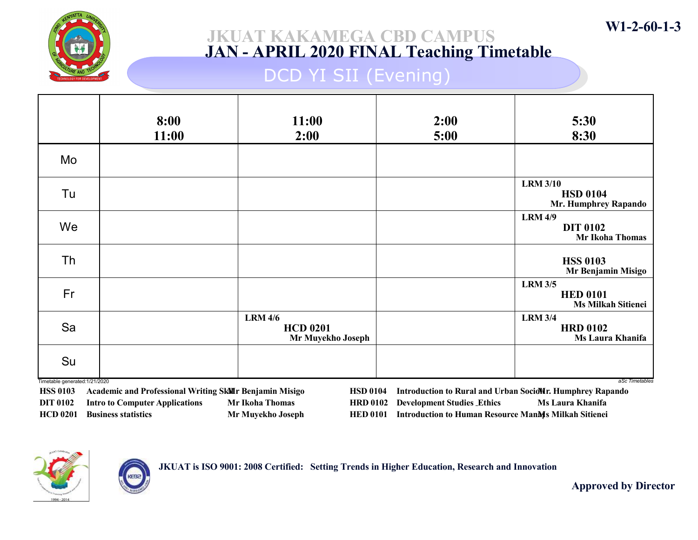

### JKUAT KAKAMEGA CBD CAMPUS JAN - APRIL 2020 FINAL Teaching Timetable

## DCD YI SII (Evening)

|                               | 8:00<br>11:00 | 11:00<br>2:00                                          | 2:00<br>5:00 | 5:30<br>8:30                                                   |
|-------------------------------|---------------|--------------------------------------------------------|--------------|----------------------------------------------------------------|
| Mo                            |               |                                                        |              |                                                                |
| Tu                            |               |                                                        |              | <b>LRM 3/10</b><br><b>HSD 0104</b><br>Mr. Humphrey Rapando     |
| We                            |               |                                                        |              | <b>LRM 4/9</b><br><b>DIT 0102</b><br>Mr Ikoha Thomas           |
| Th                            |               |                                                        |              | <b>HSS 0103</b><br>Mr Benjamin Misigo                          |
| Fr                            |               |                                                        |              | <b>LRM 3/5</b><br><b>HED 0101</b><br><b>Ms Milkah Sitienei</b> |
| Sa                            |               | <b>LRM 4/6</b><br><b>HCD 0201</b><br>Mr Muyekho Joseph |              | <b>LRM 3/4</b><br><b>HRD 0102</b><br>Ms Laura Khanifa          |
| Su                            |               |                                                        |              |                                                                |
| Timetable generated:1/21/2020 |               |                                                        |              | aSc Timetables                                                 |

HSS 0103 Academic and Professional Writing SkMr Benjamin Misigo DIT 0102 Intro to Computer Applications Mr Ikoha Thomas HCD 0201 Business statistics Mr Muyekho Joseph HSD 0104 Introduction to Rural and Urban SocioMr. Humphrey Rapando HRD 0102 Development Studies Ethics Ms Laura Khanifa HED 0101 Introduction to Human Resource ManMs Milkah Sitienei



JKUAT is ISO 9001: 2008 Certified: Setting Trends in Higher Education, Research and Innovation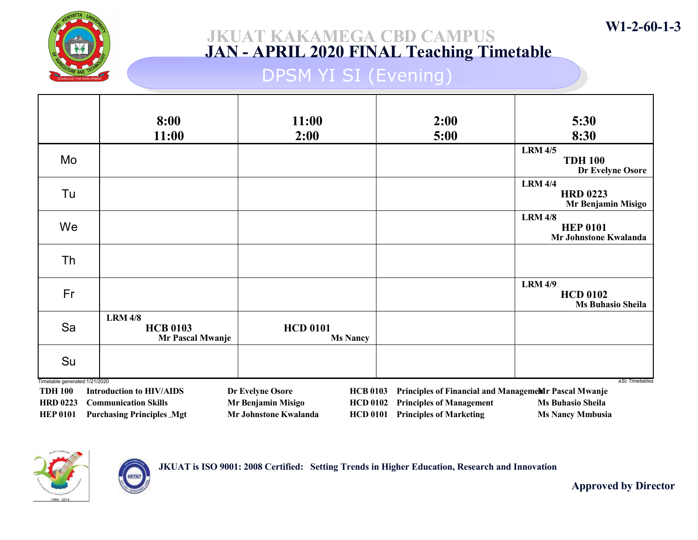

## DPSM YI SI (Evening)

|                                                 | 8:00                                                            | 11:00                                                                             | 2:00                                                              | 5:30                                                          |
|-------------------------------------------------|-----------------------------------------------------------------|-----------------------------------------------------------------------------------|-------------------------------------------------------------------|---------------------------------------------------------------|
|                                                 | 11:00                                                           | 2:00                                                                              | 5:00                                                              | 8:30                                                          |
| Mo                                              |                                                                 |                                                                                   |                                                                   | <b>LRM 4/5</b><br><b>TDH 100</b><br>Dr Evelyne Osore          |
| Tu                                              |                                                                 |                                                                                   |                                                                   | <b>LRM 4/4</b><br><b>HRD 0223</b><br>Mr Benjamin Misigo       |
| We                                              |                                                                 |                                                                                   |                                                                   | <b>LRM 4/8</b><br><b>HEP 0101</b><br>Mr Johnstone Kwalanda    |
| Th                                              |                                                                 |                                                                                   |                                                                   |                                                               |
| Fr                                              |                                                                 |                                                                                   |                                                                   | <b>LRM 4/9</b><br><b>HCD 0102</b><br><b>Ms Buhasio Sheila</b> |
| Sa                                              | <b>LRM 4/8</b><br><b>HCB 0103</b><br>Mr Pascal Mwanje           | <b>HCD 0101</b><br><b>Ms Nancy</b>                                                |                                                                   |                                                               |
| Su                                              |                                                                 |                                                                                   |                                                                   |                                                               |
| Timetable generated:1/21/2020<br><b>TDH 100</b> | <b>Introduction to HIV/AIDS</b>                                 | Dr Evelyne Osore<br><b>HCB 0103</b>                                               | Principles of Financial and ManagemeMr Pascal Mwanje              | aSc Timetables                                                |
| <b>HRD 0223</b><br><b>HEP 0101</b>              | <b>Communication Skills</b><br><b>Purchasing Principles Mgt</b> | Mr Benjamin Misigo<br><b>HCD 0102</b><br>Mr Johnstone Kwalanda<br><b>HCD 0101</b> | <b>Principles of Management</b><br><b>Principles of Marketing</b> | <b>Ms Buhasio Sheila</b><br><b>Ms Nancy Mmbusia</b>           |



**KEB** 

JKUAT is ISO 9001: 2008 Certified: Setting Trends in Higher Education, Research and Innovation

Approved by Director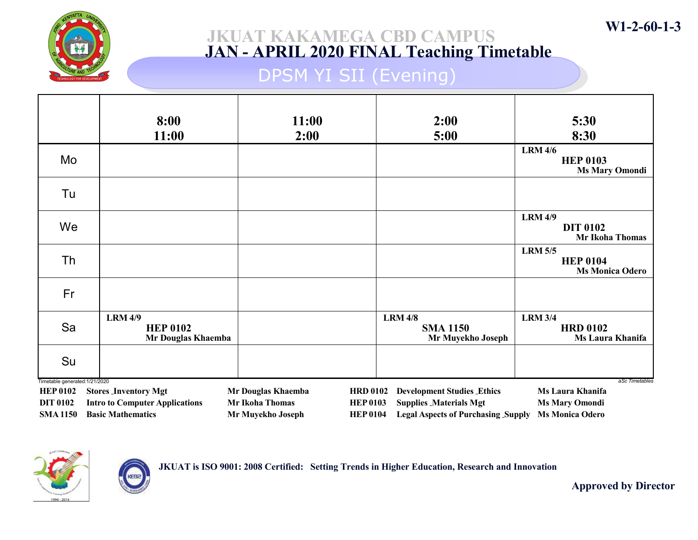

### JKUAT KAKAMEGA CBD CAMPUS JAN - APRIL 2020 FINAL Teaching Timetable

## DPSM YI SII (Evening)

|                                                   | 8:00<br>11:00                                           | 11:00<br>2:00          | 2:00<br>5:00                                                 | 5:30<br>8:30                                                 |
|---------------------------------------------------|---------------------------------------------------------|------------------------|--------------------------------------------------------------|--------------------------------------------------------------|
| Mo                                                |                                                         |                        |                                                              | <b>LRM 4/6</b><br><b>HEP 0103</b><br><b>Ms Mary Omondi</b>   |
| Tu                                                |                                                         |                        |                                                              |                                                              |
| We                                                |                                                         |                        |                                                              | <b>LRM 4/9</b><br><b>DIT 0102</b><br><b>Mr Ikoha Thomas</b>  |
| Th                                                |                                                         |                        |                                                              | <b>LRM 5/5</b><br><b>HEP 0104</b><br><b>Ms Monica Odero</b>  |
| Fr                                                |                                                         |                        |                                                              |                                                              |
| Sa                                                | <b>LRM 4/9</b><br><b>HEP 0102</b><br>Mr Douglas Khaemba |                        | <b>LRM 4/8</b><br><b>SMA 1150</b><br>Mr Muyekho Joseph       | <b>LRM 3/4</b><br><b>HRD 0102</b><br><b>Ms Laura Khanifa</b> |
| Su                                                |                                                         |                        |                                                              |                                                              |
| Timetable generated: 1/21/2020<br><b>HEP 0102</b> | <b>Stores Inventory Mgt</b>                             | Mr Douglas Khaemba     | <b>Development Studies_Ethics</b><br><b>HRD 0102</b>         | aSc Timetables<br><b>Ms Laura Khanifa</b>                    |
| <b>DIT 0102</b>                                   | <b>Intro to Computer Applications</b>                   | <b>Mr Ikoha Thomas</b> | <b>Supplies Materials Mgt</b><br><b>HEP 0103</b>             | <b>Ms Mary Omondi</b>                                        |
| <b>SMA 1150</b>                                   | <b>Basic Mathematics</b>                                | Mr Muyekho Joseph      | <b>HEP 0104</b><br><b>Legal Aspects of Purchasing Supply</b> | <b>Ms Monica Odero</b>                                       |



**KEB** 

JKUAT is ISO 9001: 2008 Certified: Setting Trends in Higher Education, Research and Innovation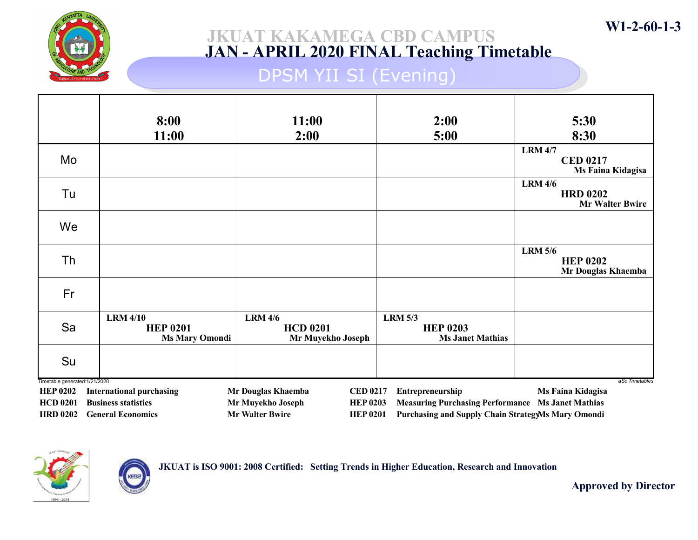

### JKUAT KAKAMEGA CBD CAMPUS JAN - APRIL 2020 FINAL Teaching Timetable

## DPSM YII SI (Evening)

|                                    | 8:00<br>11:00                                               | 11:00<br>2:00                                                                     | 2:00<br>5:00                                                                                                          | 5:30<br>8:30                                                |
|------------------------------------|-------------------------------------------------------------|-----------------------------------------------------------------------------------|-----------------------------------------------------------------------------------------------------------------------|-------------------------------------------------------------|
| Mo                                 |                                                             |                                                                                   |                                                                                                                       | <b>LRM 4/7</b><br><b>CED 0217</b><br>Ms Faina Kidagisa      |
| Tu                                 |                                                             |                                                                                   |                                                                                                                       | <b>LRM 4/6</b><br><b>HRD 0202</b><br><b>Mr Walter Bwire</b> |
| We                                 |                                                             |                                                                                   |                                                                                                                       |                                                             |
| Th                                 |                                                             |                                                                                   |                                                                                                                       | <b>LRM 5/6</b><br><b>HEP 0202</b><br>Mr Douglas Khaemba     |
| Fr                                 |                                                             |                                                                                   |                                                                                                                       |                                                             |
| Sa                                 | <b>LRM 4/10</b><br><b>HEP 0201</b><br><b>Ms Mary Omondi</b> | <b>LRM 4/6</b><br><b>HCD 0201</b><br>Mr Muyekho Joseph                            | <b>LRM 5/3</b><br><b>HEP 0203</b><br><b>Ms Janet Mathias</b>                                                          |                                                             |
| Su                                 |                                                             |                                                                                   |                                                                                                                       |                                                             |
| Timetable generated: 1/21/2020     |                                                             |                                                                                   |                                                                                                                       | aSc Timetables                                              |
| <b>HEP 0202</b>                    | <b>International purchasing</b>                             | Mr Douglas Khaemba<br><b>CED 0217</b>                                             | Entrepreneurship                                                                                                      | Ms Faina Kidagisa                                           |
| <b>HCD 0201</b><br><b>HRD 0202</b> | <b>Business statistics</b><br><b>General Economics</b>      | Mr Muyekho Joseph<br><b>HEP 0203</b><br><b>Mr Walter Bwire</b><br><b>HEP 0201</b> | <b>Measuring Purchasing Performance Ms Janet Mathias</b><br><b>Purchasing and Supply Chain StrategyMs Mary Omondi</b> |                                                             |
|                                    |                                                             |                                                                                   |                                                                                                                       |                                                             |



**KEB** 

JKUAT is ISO 9001: 2008 Certified: Setting Trends in Higher Education, Research and Innovation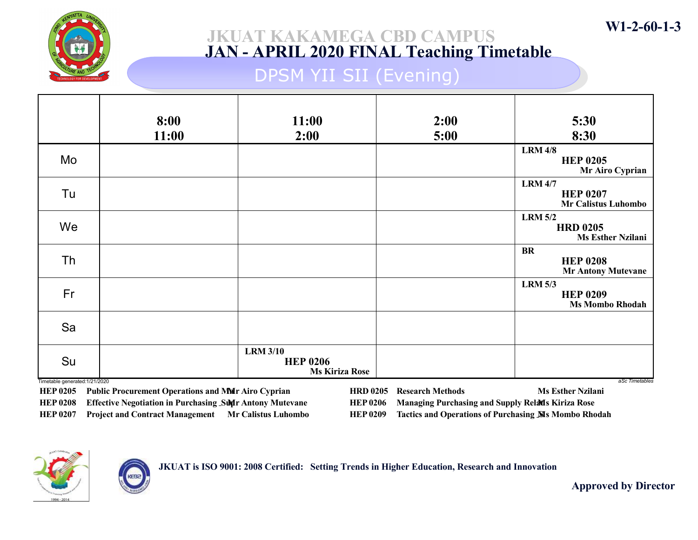

### JKUAT KAKAMEGA CBD CAMPUS JAN - APRIL 2020 FINAL Teaching Timetable

### DPSM YII SII (Evening)

|                                     | 8:00<br>11:00 | 11:00<br>2:00                                               | 2:00<br>5:00 | 5:30<br>8:30                                                    |
|-------------------------------------|---------------|-------------------------------------------------------------|--------------|-----------------------------------------------------------------|
| Mo                                  |               |                                                             |              | <b>LRM 4/8</b><br><b>HEP 0205</b><br>Mr Airo Cyprian            |
| Tu                                  |               |                                                             |              | <b>LRM 4/7</b><br><b>HEP 0207</b><br><b>Mr Calistus Luhombo</b> |
| We                                  |               |                                                             |              | <b>LRM 5/2</b><br><b>HRD 0205</b><br><b>Ms Esther Nzilani</b>   |
| Th                                  |               |                                                             |              | <b>BR</b><br><b>HEP 0208</b><br><b>Mr Antony Mutevane</b>       |
| Fr                                  |               |                                                             |              | <b>LRM 5/3</b><br><b>HEP 0209</b><br><b>Ms Mombo Rhodah</b>     |
| Sa                                  |               |                                                             |              |                                                                 |
| Su<br>Timetable generated:1/21/2020 |               | <b>LRM 3/10</b><br><b>HEP 0206</b><br><b>Ms Kiriza Rose</b> |              | aSc Timetables                                                  |

HEP 0205 Public Procurement Operations and Mair Airo Cyprian HEP 0208 Effective Negotiation in Purchasing Sun Antony Mutevane HEP 0207 Project and Contract Management Mr Calistus Luhombo HRD 0205 Research Methods Ms Esther Nzilani HEP 0206 Managing Purchasing and Supply Relates Kiriza Rose HEP 0209 Tactics and Operations of Purchasing SIs Mombo Rhodah



JKUAT is ISO 9001: 2008 Certified: Setting Trends in Higher Education, Research and Innovation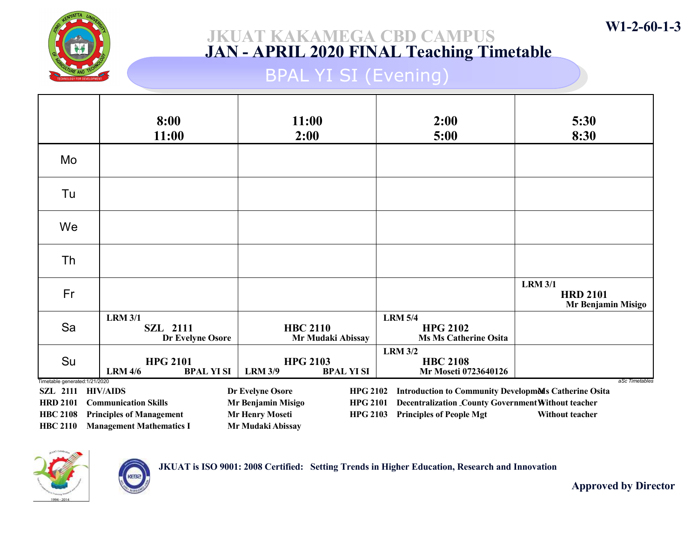

# BPAL YI SI (Evening)

|                                | 8:00<br>11:00                                          | 11:00<br>2:00                                          | 2:00<br>5:00                                                      | 5:30<br>8:30                                            |
|--------------------------------|--------------------------------------------------------|--------------------------------------------------------|-------------------------------------------------------------------|---------------------------------------------------------|
| Mo                             |                                                        |                                                        |                                                                   |                                                         |
| Tu                             |                                                        |                                                        |                                                                   |                                                         |
| We                             |                                                        |                                                        |                                                                   |                                                         |
| Th                             |                                                        |                                                        |                                                                   |                                                         |
| Fr                             |                                                        |                                                        |                                                                   | <b>LRM 3/1</b><br><b>HRD 2101</b><br>Mr Benjamin Misigo |
| Sa                             | <b>LRM 3/1</b><br><b>SZL 2111</b><br>Dr Evelyne Osore  | <b>HBC 2110</b><br>Mr Mudaki Abissay                   | <b>LRM 5/4</b><br><b>HPG 2102</b><br><b>Ms Ms Catherine Osita</b> |                                                         |
| Su                             | <b>HPG 2101</b><br><b>LRM 4/6</b><br><b>BPAL YI SI</b> | <b>HPG 2103</b><br><b>LRM 3/9</b><br><b>BPAL YI SI</b> | <b>LRM 3/2</b><br><b>HBC 2108</b><br>Mr Moseti 0723640126         |                                                         |
| Timetable generated: 1/21/2020 | SZL 2111 HIV/AIDS                                      | Dr Evelyne Osore<br><b>HPG 2102</b>                    | <b>Introduction to Community Developments Catherine Osita</b>     | aSc Timetables                                          |
| <b>HRD 2101</b>                | <b>Communication Skills</b>                            | Mr Benjamin Misigo<br><b>HPG 2101</b>                  | Decentralization _County Government Without teacher               |                                                         |
| <b>HBC 2108</b>                | <b>Principles of Management</b>                        | <b>Mr Henry Moseti</b><br><b>HPG 2103</b>              | <b>Principles of People Mgt</b>                                   | Without teacher                                         |
| <b>HBC 2110</b>                | <b>Management Mathematics I</b>                        | Mr Mudaki Abissay                                      |                                                                   |                                                         |



**KEB** 

JKUAT is ISO 9001: 2008 Certified: Setting Trends in Higher Education, Research and Innovation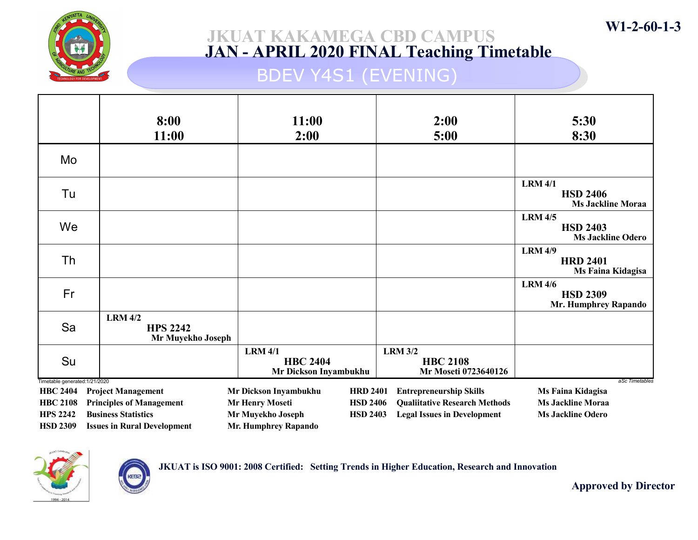

### JKUAT KAKAMEGA CBD CAMPUS JAN - APRIL 2020 FINAL Teaching Timetable

## BDEV Y4S1 (EVENING)

|                                                   | 8:00                                                   | 11:00                                                      |                 | 2:00                                                      | 5:30                                                             |
|---------------------------------------------------|--------------------------------------------------------|------------------------------------------------------------|-----------------|-----------------------------------------------------------|------------------------------------------------------------------|
|                                                   | 11:00                                                  | 2:00                                                       |                 | 5:00                                                      | 8:30                                                             |
| Mo                                                |                                                        |                                                            |                 |                                                           |                                                                  |
| Tu                                                |                                                        |                                                            |                 |                                                           | <b>LRM 4/1</b><br><b>HSD 2406</b><br><b>Ms Jackline Moraa</b>    |
| We                                                |                                                        |                                                            |                 |                                                           | <b>LRM 4/5</b><br><b>HSD 2403</b><br><b>Ms Jackline Odero</b>    |
| Th                                                |                                                        |                                                            |                 |                                                           | <b>LRM 4/9</b><br><b>HRD 2401</b><br>Ms Faina Kidagisa           |
| Fr                                                |                                                        |                                                            |                 |                                                           | <b>LRM 4/6</b><br><b>HSD 2309</b><br><b>Mr. Humphrey Rapando</b> |
| Sa                                                | <b>LRM 4/2</b><br><b>HPS 2242</b><br>Mr Muyekho Joseph |                                                            |                 |                                                           |                                                                  |
| Su                                                |                                                        | <b>LRM 4/1</b><br><b>HBC 2404</b><br>Mr Dickson Inyambukhu |                 | <b>LRM 3/2</b><br><b>HBC 2108</b><br>Mr Moseti 0723640126 |                                                                  |
| Timetable generated: 1/21/2020<br><b>HBC 2404</b> | <b>Project Management</b>                              | Mr Dickson Inyambukhu                                      | <b>HRD 2401</b> | <b>Entrepreneurship Skills</b>                            | aSc Timetables<br>Ms Faina Kidagisa                              |
| <b>HBC 2108</b>                                   | <b>Principles of Management</b>                        | <b>Mr Henry Moseti</b>                                     | <b>HSD 2406</b> | <b>Qualiitative Research Methods</b>                      | <b>Ms Jackline Moraa</b>                                         |
| <b>HPS 2242</b>                                   | <b>Business Statistics</b>                             | Mr Muyekho Joseph                                          | <b>HSD 2403</b> | <b>Legal Issues in Development</b>                        | <b>Ms Jackline Odero</b>                                         |
| <b>HSD 2309</b>                                   | <b>Issues in Rural Development</b>                     | <b>Mr. Humphrey Rapando</b>                                |                 |                                                           |                                                                  |



KEBa

JKUAT is ISO 9001: 2008 Certified: Setting Trends in Higher Education, Research and Innovation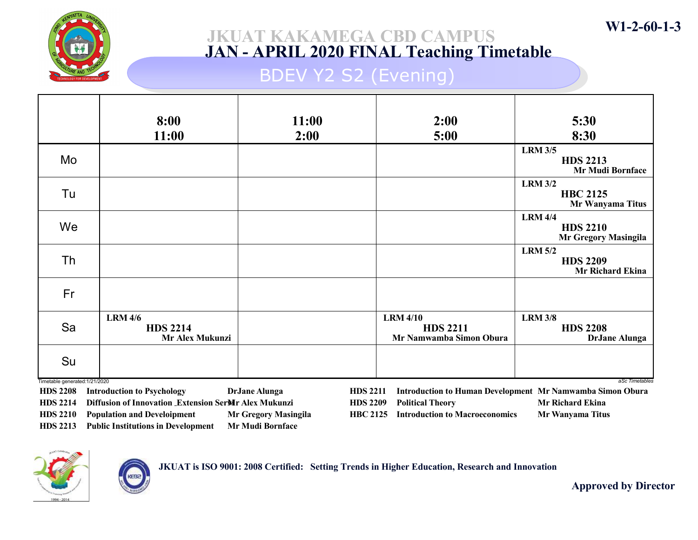

### JKUAT KAKAMEGA CBD CAMPUS JAN - APRIL 2020 FINAL Teaching Timetable

### BDEV Y2 S2 (Evening)

|                                | 8:00<br>11:00                                        | 11:00<br>2:00                      | 2:00<br>5:00                                                  | 5:30<br>8:30                                                                |
|--------------------------------|------------------------------------------------------|------------------------------------|---------------------------------------------------------------|-----------------------------------------------------------------------------|
| Mo                             |                                                      |                                    |                                                               | <b>LRM 3/5</b><br><b>HDS 2213</b><br><b>Mr Mudi Bornface</b>                |
| Tu                             |                                                      |                                    |                                                               | <b>LRM 3/2</b><br><b>HBC 2125</b><br>Mr Wanyama Titus                       |
| We                             |                                                      |                                    |                                                               | <b>LRM 4/4</b><br><b>HDS 2210</b><br><b>Mr Gregory Masingila</b>            |
| Th                             |                                                      |                                    |                                                               | <b>LRM 5/2</b><br><b>HDS 2209</b><br><b>Mr Richard Ekina</b>                |
| Fr                             |                                                      |                                    |                                                               |                                                                             |
| Sa                             | <b>LRM 4/6</b><br><b>HDS 2214</b><br>Mr Alex Mukunzi |                                    | <b>LRM 4/10</b><br><b>HDS 2211</b><br>Mr Namwamba Simon Obura | <b>LRM 3/8</b><br><b>HDS 2208</b><br><b>DrJane Alunga</b>                   |
| Su                             |                                                      |                                    |                                                               |                                                                             |
| Timetable generated: 1/21/2020 | <b>HDS</b> 2208 Introduction to Psychology           | Dr. Jane Alunga<br><b>HDS 2211</b> |                                                               | aSc Timetables<br>Introduction to Human Development Mr Namwamba Simon Obura |

HDS 2208 Introduction to Psychology DrJane Alunga HDS 2214 Diffusion of Innovation Extension SerMr Alex Mukunzi HDS 2210 Population and Develoipment Mr Gregory Masingila HDS 2213 Public Institutions in Development Mr Mudi Bornface

HDS 2211 Introduction to Human Development Mr Namwamba Simon Obura HDS 2209 Political Theory Mr Richard Ekina HBC 2125 Introduction to Macroeconomics Mr Wanyama Titus



JKUAT is ISO 9001: 2008 Certified: Setting Trends in Higher Education, Research and Innovation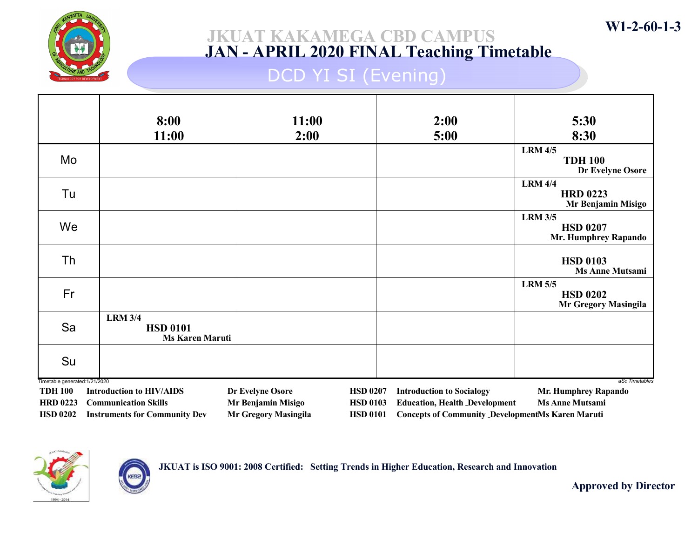

### JKUAT KAKAMEGA CBD CAMPUS JAN - APRIL 2020 FINAL Teaching Timetable

## DCD YI SI (Evening)

|                                                                                        | 8:00<br>11:00                                                                                          | 11:00<br>2:00                                                         |                                                       | 2:00<br>5:00                                                                                                                        | 5:30<br>8:30                                                     |
|----------------------------------------------------------------------------------------|--------------------------------------------------------------------------------------------------------|-----------------------------------------------------------------------|-------------------------------------------------------|-------------------------------------------------------------------------------------------------------------------------------------|------------------------------------------------------------------|
| Mo                                                                                     |                                                                                                        |                                                                       |                                                       |                                                                                                                                     | <b>LRM 4/5</b><br><b>TDH 100</b><br>Dr Evelyne Osore             |
| Tu                                                                                     |                                                                                                        |                                                                       |                                                       |                                                                                                                                     | <b>LRM 4/4</b><br><b>HRD 0223</b><br>Mr Benjamin Misigo          |
| We                                                                                     |                                                                                                        |                                                                       |                                                       |                                                                                                                                     | <b>LRM 3/5</b><br><b>HSD 0207</b><br><b>Mr. Humphrey Rapando</b> |
| Th                                                                                     |                                                                                                        |                                                                       |                                                       |                                                                                                                                     | <b>HSD 0103</b><br><b>Ms Anne Mutsami</b>                        |
| Fr                                                                                     |                                                                                                        |                                                                       |                                                       |                                                                                                                                     | <b>LRM 5/5</b><br><b>HSD 0202</b><br><b>Mr Gregory Masingila</b> |
| Sa                                                                                     | <b>LRM 3/4</b><br><b>HSD 0101</b><br><b>Ms Karen Maruti</b>                                            |                                                                       |                                                       |                                                                                                                                     |                                                                  |
| Su                                                                                     |                                                                                                        |                                                                       |                                                       |                                                                                                                                     |                                                                  |
| Timetable generated: 1/21/2020<br><b>TDH 100</b><br><b>HRD 0223</b><br><b>HSD 0202</b> | <b>Introduction to HIV/AIDS</b><br><b>Communication Skills</b><br><b>Instruments for Community Dev</b> | Dr Evelyne Osore<br>Mr Benjamin Misigo<br><b>Mr Gregory Masingila</b> | <b>HSD 0207</b><br><b>HSD 0103</b><br><b>HSD 0101</b> | <b>Introduction to Socialogy</b><br><b>Education, Health Development</b><br><b>Concepts of Community DevelopmentMs Karen Maruti</b> | aSc Timetables<br>Mr. Humphrey Rapando<br><b>Ms Anne Mutsami</b> |



JKUAT is ISO 9001: 2008 Certified: Setting Trends in Higher Education, Research and Innovation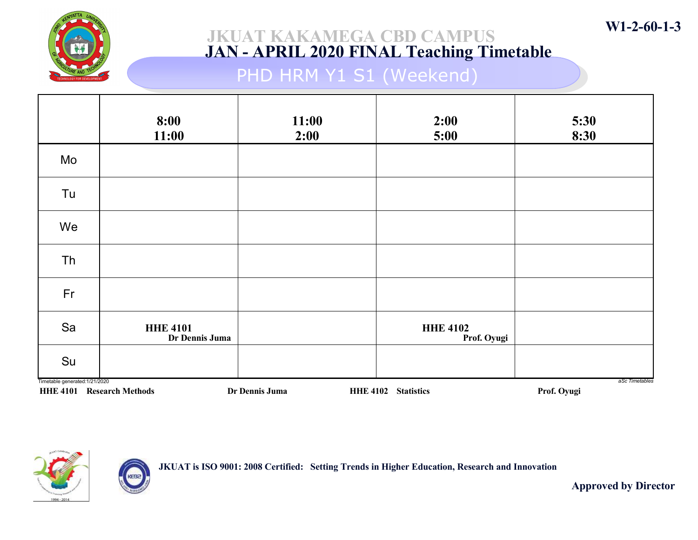

## PHD HRM Y1 S1 (Weekend)

|                                | 8:00<br>11:00                     | 11:00<br>2:00  | 2:00<br>5:00                   | 5:30<br>8:30                  |
|--------------------------------|-----------------------------------|----------------|--------------------------------|-------------------------------|
| Mo                             |                                   |                |                                |                               |
| Tu                             |                                   |                |                                |                               |
| We                             |                                   |                |                                |                               |
| Th                             |                                   |                |                                |                               |
| Fr                             |                                   |                |                                |                               |
| Sa                             | <b>HHE 4101</b><br>Dr Dennis Juma |                | <b>HHE 4102</b><br>Prof. Oyugi |                               |
| Su                             |                                   |                |                                |                               |
| Timetable generated: 1/21/2020 | <b>HHE 4101 Research Methods</b>  | Dr Dennis Juma | HHE 4102 Statistics            | aSc Timetables<br>Prof. Oyugi |



KEBa

JKUAT is ISO 9001: 2008 Certified: Setting Trends in Higher Education, Research and Innovation

Approved by Director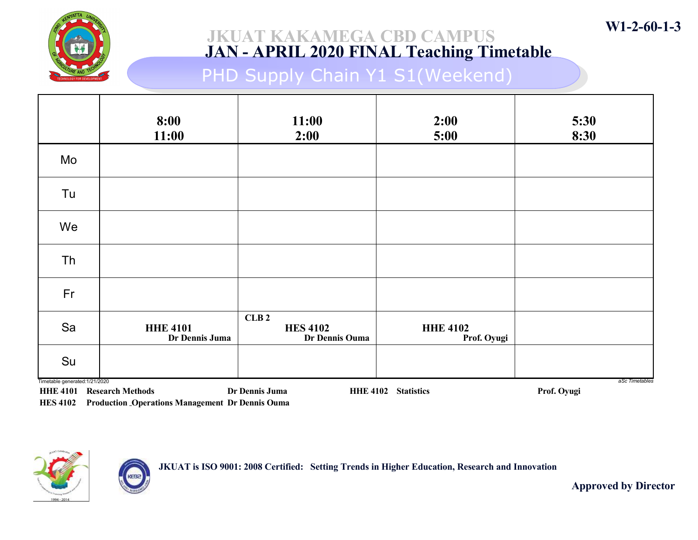

PHD Supply Chain Y1 S1(Weekend)

|                                                                    | 8:00<br>11:00                     | 11:00<br>2:00                             | 2:00<br>5:00                   | 5:30<br>8:30                  |
|--------------------------------------------------------------------|-----------------------------------|-------------------------------------------|--------------------------------|-------------------------------|
| Mo                                                                 |                                   |                                           |                                |                               |
| Tu                                                                 |                                   |                                           |                                |                               |
| We                                                                 |                                   |                                           |                                |                               |
| Th                                                                 |                                   |                                           |                                |                               |
| Fr                                                                 |                                   |                                           |                                |                               |
| Sa                                                                 | <b>HHE 4101</b><br>Dr Dennis Juma | CLB2<br><b>HES 4102</b><br>Dr Dennis Ouma | <b>HHE 4102</b><br>Prof. Oyugi |                               |
| Su                                                                 |                                   |                                           |                                |                               |
| Timetable generated: 1/21/2020<br><b>HHE 4101 Research Methods</b> |                                   | Dr Dennis Juma                            | <b>HHE 4102 Statistics</b>     | aSc Timetables<br>Prof. Oyugi |

HES 4102 Production Operations Management Dr Dennis Ouma

ÆG



JKUAT is ISO 9001: 2008 Certified: Setting Trends in Higher Education, Research and Innovation

Approved by Director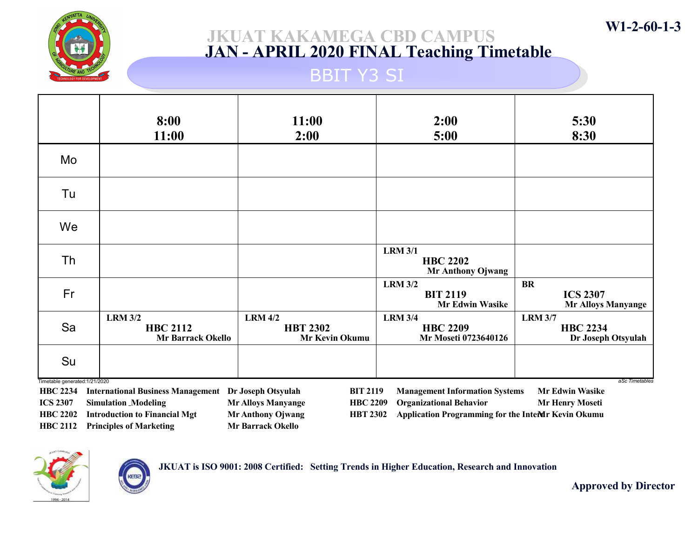

### BBIT Y3 SI

|                                                   | 8:00<br>11:00                                                 | 11:00<br>2:00                                       | 2:00<br>5:00                                                | 5:30<br>8:30                                              |
|---------------------------------------------------|---------------------------------------------------------------|-----------------------------------------------------|-------------------------------------------------------------|-----------------------------------------------------------|
| Mo                                                |                                                               |                                                     |                                                             |                                                           |
| Tu                                                |                                                               |                                                     |                                                             |                                                           |
| We                                                |                                                               |                                                     |                                                             |                                                           |
| <b>Th</b>                                         |                                                               |                                                     | <b>LRM 3/1</b><br><b>HBC 2202</b><br>Mr Anthony Ojwang      |                                                           |
| Fr                                                |                                                               |                                                     | <b>LRM 3/2</b><br><b>BIT 2119</b><br><b>Mr Edwin Wasike</b> | <b>BR</b><br><b>ICS 2307</b><br><b>Mr Alloys Manyange</b> |
| Sa                                                | <b>LRM 3/2</b><br><b>HBC 2112</b><br><b>Mr Barrack Okello</b> | <b>LRM 4/2</b><br><b>HBT 2302</b><br>Mr Kevin Okumu | <b>LRM 3/4</b><br><b>HBC 2209</b><br>Mr Moseti 0723640126   | <b>LRM 3/7</b><br><b>HBC 2234</b><br>Dr Joseph Otsyulah   |
| Su                                                |                                                               |                                                     |                                                             |                                                           |
| Timetable generated: 1/21/2020<br><b>HBC 2234</b> | <b>International Business Management Dr Joseph Otsyulah</b>   | <b>BIT 2119</b>                                     | <b>Management Information Systems</b>                       | aSc Timetables<br><b>Mr Edwin Wasike</b>                  |

ICS 2307 Simulation Modeling Mr Alloys Manyange HBC 2202 Introduction to Financial Mgt Mr Anthony Ojwang HBC 2112 Principles of Marketing Mr Barrack Okello

HBC 2209 Organizational Behavior Mr Henry Moseti HBT 2302 Application Programming for the Interar Kevin Okumu



JKUAT is ISO 9001: 2008 Certified: Setting Trends in Higher Education, Research and Innovation

Approved by Director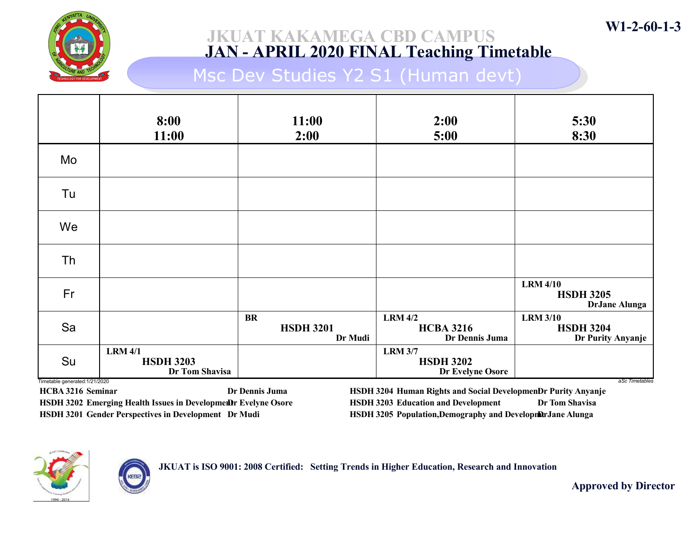

Msc Dev Studies Y2 S1 (Human devt)

|                                      | 8:00<br>11:00                                        | 11:00<br>2:00                            | 2:00<br>5:00                                           | 5:30<br>8:30                                                |
|--------------------------------------|------------------------------------------------------|------------------------------------------|--------------------------------------------------------|-------------------------------------------------------------|
| Mo                                   |                                                      |                                          |                                                        |                                                             |
| Tu                                   |                                                      |                                          |                                                        |                                                             |
| We                                   |                                                      |                                          |                                                        |                                                             |
| <b>Th</b>                            |                                                      |                                          |                                                        |                                                             |
| Fr                                   |                                                      |                                          |                                                        | <b>LRM 4/10</b><br><b>HSDH 3205</b><br><b>DrJane Alunga</b> |
| Sa                                   |                                                      | <b>BR</b><br><b>HSDH 3201</b><br>Dr Mudi | <b>LRM 4/2</b><br><b>HCBA 3216</b><br>Dr Dennis Juma   | <b>LRM 3/10</b><br><b>HSDH 3204</b><br>Dr Purity Anyanje    |
| Su<br>Timetable generated: 1/21/2020 | <b>LRM 4/1</b><br><b>HSDH 3203</b><br>Dr Tom Shavisa |                                          | <b>LRM 3/7</b><br><b>HSDH 3202</b><br>Dr Evelyne Osore | aSc Timetables                                              |

HCBA 3216 Seminar Dr Dennis Juma HSDH 3202 Emerging Health Issues in Development Evelyne Osore HSDH 3201 Gender Perspectives in Development Dr Mudi

HSDH 3204 Human Rights and Social DevelopmenDr Purity Anyanje HSDH 3203 Education and Development Dr Tom Shavisa HSDH 3205 Population,Demography and Developmer Jane Alunga



JKUAT is ISO 9001: 2008 Certified: Setting Trends in Higher Education, Research and Innovation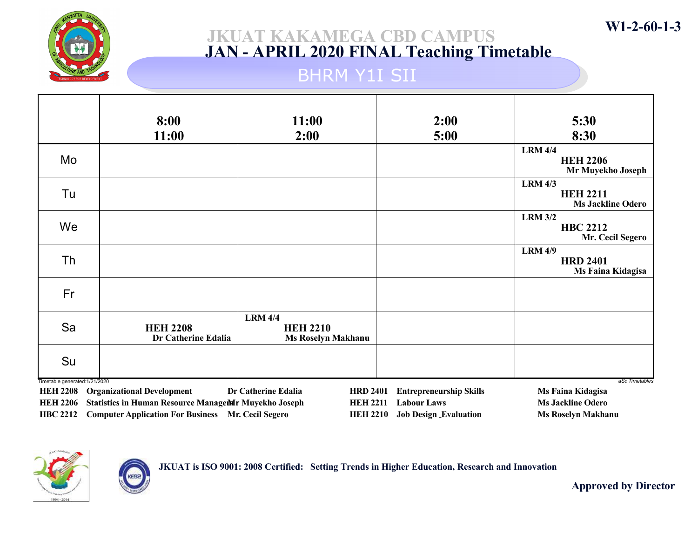

### JKUAT KAKAMEGA CBD CAMPUS JAN - APRIL 2020 FINAL Teaching Timetable

### BHRM Y1I SII

|                                | 8:00                                          | 11:00                                                          | 2:00                           | 5:30                                                          |
|--------------------------------|-----------------------------------------------|----------------------------------------------------------------|--------------------------------|---------------------------------------------------------------|
|                                | 11:00                                         | 2:00                                                           | 5:00                           | 8:30                                                          |
| Mo                             |                                               |                                                                |                                | <b>LRM 4/4</b><br><b>HEH 2206</b><br>Mr Muyekho Joseph        |
| Tu                             |                                               |                                                                |                                | <b>LRM 4/3</b><br><b>HEH 2211</b><br><b>Ms Jackline Odero</b> |
| We                             |                                               |                                                                |                                | <b>LRM 3/2</b><br><b>HBC 2212</b><br>Mr. Cecil Segero         |
| Th                             |                                               |                                                                |                                | <b>LRM 4/9</b><br><b>HRD 2401</b><br>Ms Faina Kidagisa        |
| Fr                             |                                               |                                                                |                                |                                                               |
| Sa                             | <b>HEH 2208</b><br><b>Dr Catherine Edalia</b> | <b>LRM 4/4</b><br><b>HEH 2210</b><br><b>Ms Roselyn Makhanu</b> |                                |                                                               |
| Su                             |                                               |                                                                |                                |                                                               |
| Timetable generated: 1/21/2020 | <b>HEH 2208</b> Organizational Development    | Dr Catherine Edalia<br><b>HRD 2401</b>                         | <b>Entrepreneurship Skills</b> | aSc Timetables<br>Ms Faina Kidagisa                           |

HEH 2206 Statistics in Human Resource Management Muyekho Joseph HBC 2212 Computer Application For Business Mr. Cecil Segero

HEH 2211 Labour Laws Ms Jackline Odero HEH 2210 Job Design Evaluation Ms Roselyn Makhanu



JKUAT is ISO 9001: 2008 Certified: Setting Trends in Higher Education, Research and Innovation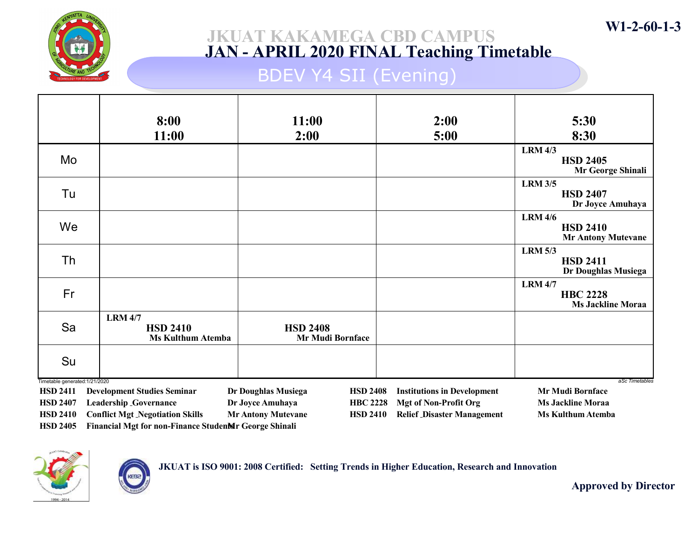

### JKUAT KAKAMEGA CBD CAMPUS JAN - APRIL 2020 FINAL Teaching Timetable

## BDEV Y4 SII (Evening)

|                                    | 8:00                                                  | 11:00                                        | 2:00                               | 5:30                                 |  |
|------------------------------------|-------------------------------------------------------|----------------------------------------------|------------------------------------|--------------------------------------|--|
|                                    | 11:00                                                 | 2:00                                         | 5:00                               | 8:30                                 |  |
|                                    |                                                       |                                              |                                    | <b>LRM 4/3</b>                       |  |
| Mo                                 |                                                       |                                              |                                    | <b>HSD 2405</b><br>Mr George Shinali |  |
|                                    |                                                       |                                              |                                    | <b>LRM 3/5</b>                       |  |
| Tu                                 |                                                       |                                              |                                    | <b>HSD 2407</b><br>Dr Joyce Amuhaya  |  |
|                                    |                                                       |                                              |                                    | <b>LRM 4/6</b>                       |  |
| We                                 |                                                       |                                              |                                    | <b>HSD 2410</b>                      |  |
|                                    |                                                       |                                              |                                    | <b>Mr Antony Mutevane</b>            |  |
| Th                                 |                                                       |                                              |                                    | <b>LRM 5/3</b><br><b>HSD 2411</b>    |  |
|                                    |                                                       |                                              |                                    | Dr Doughlas Musiega                  |  |
|                                    |                                                       |                                              |                                    | <b>LRM 4/7</b>                       |  |
| Fr                                 |                                                       |                                              |                                    | <b>HBC 2228</b>                      |  |
|                                    |                                                       |                                              |                                    | <b>Ms Jackline Moraa</b>             |  |
| Sa                                 | <b>LRM 4/7</b><br><b>HSD 2410</b>                     | <b>HSD 2408</b>                              |                                    |                                      |  |
|                                    | <b>Ms Kulthum Atemba</b>                              | <b>Mr Mudi Bornface</b>                      |                                    |                                      |  |
|                                    |                                                       |                                              |                                    |                                      |  |
| Su                                 |                                                       |                                              |                                    |                                      |  |
| Timetable generated: 1/21/2020     |                                                       |                                              |                                    | aSc Timetables                       |  |
| <b>HSD 2411</b>                    | <b>Development Studies Seminar</b>                    | Dr Doughlas Musiega<br><b>HSD 2408</b>       | <b>Institutions in Development</b> | <b>Mr Mudi Bornface</b>              |  |
| <b>HSD 2407</b>                    | <b>Leadership _Governance</b>                         | Dr Joyce Amuhaya<br><b>HBC 2228</b>          | <b>Mgt of Non-Profit Org</b>       | <b>Ms Jackline Moraa</b>             |  |
| <b>HSD 2410</b><br><b>HSD 2405</b> | <b>Conflict Mgt Negotiation Skills</b>                | <b>Mr Antony Mutevane</b><br><b>HSD 2410</b> | <b>Relief Disaster Management</b>  | <b>Ms Kulthum Atemba</b>             |  |
|                                    | Financial Mgt for non-Finance StudenMr George Shinali |                                              |                                    |                                      |  |

JKUAT is ISO 9001: 2008 Certified: Setting Trends in Higher Education, Research and Innovation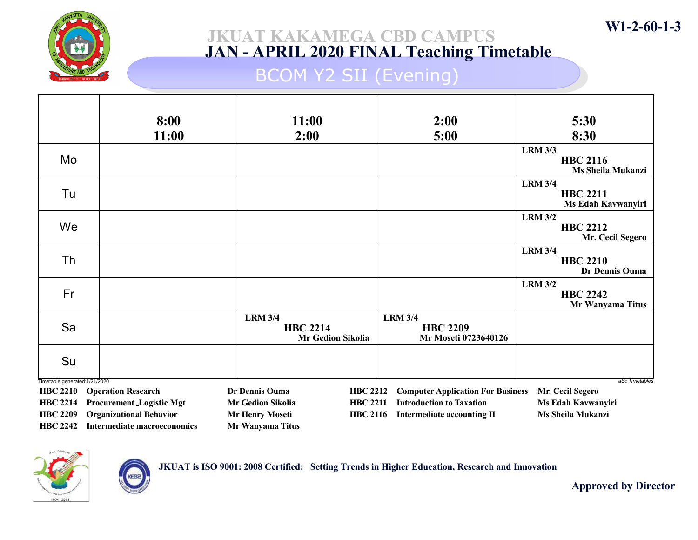

### JKUAT KAKAMEGA CBD CAMPUS JAN - APRIL 2020 FINAL Teaching Timetable

## BCOM Y2 SII (Evening)

|                                                   | 8:00                                                              | 11:00                                                                             | 2:00                                                                 | 5:30                                                    |
|---------------------------------------------------|-------------------------------------------------------------------|-----------------------------------------------------------------------------------|----------------------------------------------------------------------|---------------------------------------------------------|
|                                                   | 11:00                                                             | 2:00                                                                              | 5:00                                                                 | 8:30                                                    |
| Mo                                                |                                                                   |                                                                                   |                                                                      | <b>LRM 3/3</b><br><b>HBC 2116</b><br>Ms Sheila Mukanzi  |
| Tu                                                |                                                                   |                                                                                   |                                                                      | <b>LRM 3/4</b><br><b>HBC 2211</b><br>Ms Edah Kavwanyiri |
| We                                                |                                                                   |                                                                                   |                                                                      | <b>LRM 3/2</b><br><b>HBC 2212</b><br>Mr. Cecil Segero   |
| Th                                                |                                                                   |                                                                                   |                                                                      | <b>LRM 3/4</b><br><b>HBC 2210</b><br>Dr Dennis Ouma     |
| Fr                                                |                                                                   |                                                                                   |                                                                      | <b>LRM 3/2</b><br><b>HBC 2242</b><br>Mr Wanyama Titus   |
| Sa                                                |                                                                   | <b>LRM 3/4</b><br><b>HBC 2214</b><br><b>Mr Gedion Sikolia</b>                     | <b>LRM 3/4</b><br><b>HBC 2209</b><br>Mr Moseti 0723640126            |                                                         |
| Su                                                |                                                                   |                                                                                   |                                                                      |                                                         |
| Timetable generated: 1/21/2020<br><b>HBC 2210</b> | <b>Operation Research</b>                                         | Dr Dennis Ouma<br><b>HBC 2212</b>                                                 | <b>Computer Application For Business</b>                             | aSc Timetables<br>Mr. Cecil Segero                      |
| <b>HBC 2214</b><br><b>HBC 2209</b>                | <b>Procurement Logistic Mgt</b><br><b>Organizational Behavior</b> | <b>Mr Gedion Sikolia</b><br><b>HBC 2211</b><br>Mr Henry Moseti<br><b>HBC 2116</b> | <b>Introduction to Taxation</b><br><b>Intermediate accounting II</b> | Ms Edah Kavwanyiri<br>Ms Sheila Mukanzi                 |
| <b>HBC 2242</b>                                   | Intermediate macroeconomics                                       | Mr Wanyama Titus                                                                  |                                                                      |                                                         |



JKUAT is ISO 9001: 2008 Certified: Setting Trends in Higher Education, Research and Innovation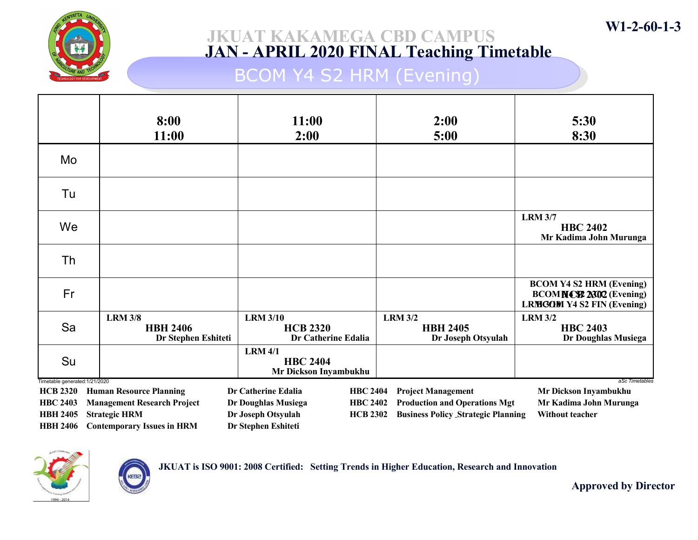

## BCOM Y4 S2 HRM (Evening)

|                                                   | 8:00<br>11:00                                            | 11:00<br>2:00                                              | 2:00<br>5:00                                            | 5:30<br>8:30                                                                                           |
|---------------------------------------------------|----------------------------------------------------------|------------------------------------------------------------|---------------------------------------------------------|--------------------------------------------------------------------------------------------------------|
| Mo                                                |                                                          |                                                            |                                                         |                                                                                                        |
| Tu                                                |                                                          |                                                            |                                                         |                                                                                                        |
| We                                                |                                                          |                                                            |                                                         | <b>LRM 3/7</b><br><b>HBC 2402</b><br>Mr Kadima John Murunga                                            |
| Th                                                |                                                          |                                                            |                                                         |                                                                                                        |
| Fr                                                |                                                          |                                                            |                                                         | <b>BCOM Y4 S2 HRM (Evening)</b><br><b>BCOMNCS2 2302 (Evening)</b><br><b>LRMGOM Y4 S2 FIN (Evening)</b> |
| Sa                                                | <b>LRM 3/8</b><br><b>HBH 2406</b><br>Dr Stephen Eshiteti | <b>LRM 3/10</b><br><b>HCB 2320</b><br>Dr Catherine Edalia  | <b>LRM 3/2</b><br><b>HBH 2405</b><br>Dr Joseph Otsyulah | <b>LRM 3/2</b><br><b>HBC 2403</b><br>Dr Doughlas Musiega                                               |
| Su                                                |                                                          | <b>LRM 4/1</b><br><b>HBC 2404</b><br>Mr Dickson Inyambukhu |                                                         |                                                                                                        |
| Timetable generated: 1/21/2020<br><b>HCB 2320</b> | <b>Human Resource Planning</b>                           | Dr Catherine Edalia<br><b>HBC 2404</b>                     | <b>Project Management</b>                               | aSc Timetables<br>Mr Dickson Inyambukhu                                                                |
| <b>HBC 2403</b>                                   | <b>Management Research Project</b>                       | <b>HBC 2402</b><br>Dr Doughlas Musiega                     | <b>Production and Operations Mgt</b>                    | Mr Kadima John Murunga                                                                                 |
| <b>HBH 2405</b>                                   | <b>Strategic HRM</b>                                     | Dr Joseph Otsyulah<br><b>HCB 2302</b>                      | <b>Business Policy Strategic Planning</b>               | <b>Without teacher</b>                                                                                 |
| <b>HBH 2406</b>                                   | <b>Contemporary Issues in HRM</b>                        | Dr Stephen Eshiteti                                        |                                                         |                                                                                                        |



KEBa

JKUAT is ISO 9001: 2008 Certified: Setting Trends in Higher Education, Research and Innovation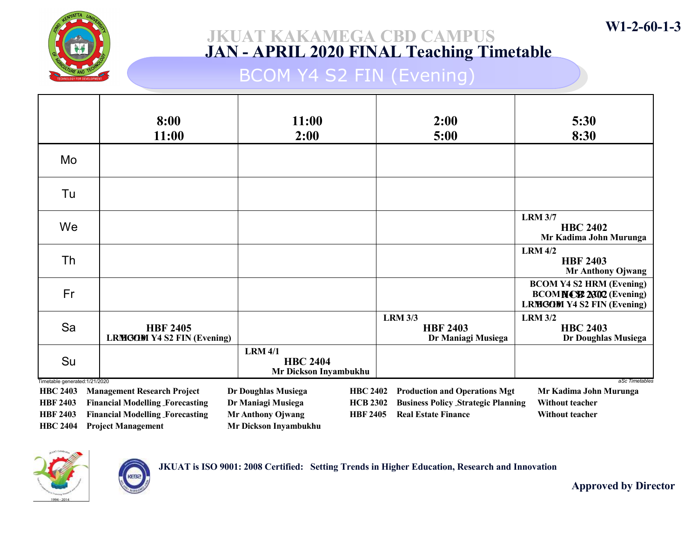

## BCOM Y4 S2 FIN (Evening)

|                                                                                                                                                                                                                       | 8:00<br>11:00                                        | 11:00<br>2:00                                              | 2:00<br>5:00                                            | 5:30<br>8:30                                                                                           |  |
|-----------------------------------------------------------------------------------------------------------------------------------------------------------------------------------------------------------------------|------------------------------------------------------|------------------------------------------------------------|---------------------------------------------------------|--------------------------------------------------------------------------------------------------------|--|
| Mo                                                                                                                                                                                                                    |                                                      |                                                            |                                                         |                                                                                                        |  |
| Tu                                                                                                                                                                                                                    |                                                      |                                                            |                                                         |                                                                                                        |  |
| We                                                                                                                                                                                                                    |                                                      |                                                            |                                                         | <b>LRM 3/7</b><br><b>HBC 2402</b><br>Mr Kadima John Murunga                                            |  |
| Th                                                                                                                                                                                                                    |                                                      |                                                            |                                                         | <b>LRM 4/2</b><br><b>HBF 2403</b><br><b>Mr Anthony Ojwang</b>                                          |  |
| Fr                                                                                                                                                                                                                    |                                                      |                                                            |                                                         | <b>BCOM Y4 S2 HRM (Evening)</b><br><b>BCOMNCS2 2302 (Evening)</b><br><b>LRMGOM Y4 S2 FIN (Evening)</b> |  |
| Sa                                                                                                                                                                                                                    | <b>HBF 2405</b><br><b>LRMGOM Y4 S2 FIN (Evening)</b> |                                                            | <b>LRM 3/3</b><br><b>HBF 2403</b><br>Dr Maniagi Musiega | <b>LRM 3/2</b><br><b>HBC 2403</b><br>Dr Doughlas Musiega                                               |  |
| Su                                                                                                                                                                                                                    |                                                      | <b>LRM 4/1</b><br><b>HBC 2404</b><br>Mr Dickson Inyambukhu |                                                         |                                                                                                        |  |
| Timetable generated: 1/21/2020<br>aSc Timetables<br><b>Management Research Project</b><br>Dr Doughlas Musiega<br><b>Production and Operations Mgt</b><br><b>HBC 2403</b><br><b>HBC 2402</b><br>Mr Kadima John Murunga |                                                      |                                                            |                                                         |                                                                                                        |  |
| <b>HBF 2403</b>                                                                                                                                                                                                       | <b>Financial Modelling Forecasting</b>               | Dr Maniagi Musiega<br><b>HCB 2302</b>                      | <b>Business Policy Strategic Planning</b>               | <b>Without teacher</b>                                                                                 |  |
| <b>HBF 2403</b>                                                                                                                                                                                                       | <b>Financial Modelling Forecasting</b>               | <b>Mr Anthony Ojwang</b><br><b>HBF 2405</b>                | <b>Real Estate Finance</b>                              | <b>Without teacher</b>                                                                                 |  |
| <b>HBC 2404</b>                                                                                                                                                                                                       | <b>Project Management</b>                            | <b>Mr Dickson Invambukhu</b>                               |                                                         |                                                                                                        |  |





Approved by Director